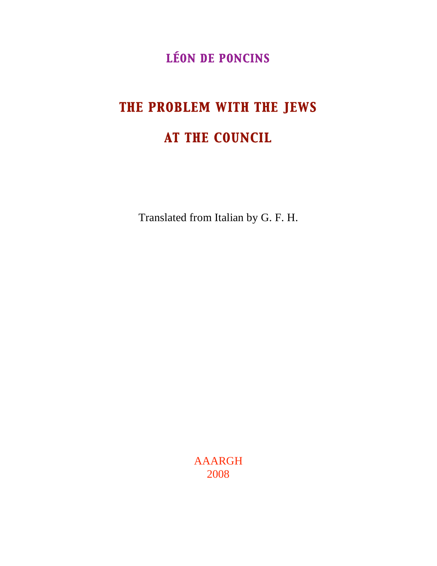# *LÉON DE PONCINS*

# *THE PROBLEM WITH THE JEWS AT THE COUNCIL*

Translated from Italian by G. F. H.

AAARGH 2008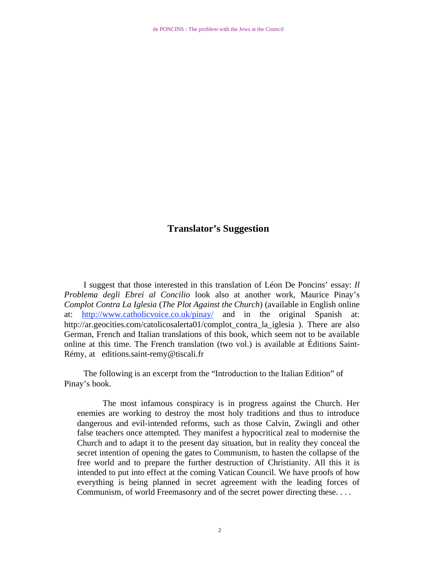#### **Translator's Suggestion**

I suggest that those interested in this translation of Léon De Poncins' essay: *Il Problema degli Ebrei al Concilio* look also at another work, Maurice Pinay's *Complot Contra La Iglesia* (*The Plot Against the Church*) (available in English online at: http://www.catholicvoice.co.uk/pinay/ and in the original Spanish at: http://ar.geocities.com/catolicosalerta01/complot\_contra\_la\_iglesia ). There are also German, French and Italian translations of this book, which seem not to be available online at this time. The French translation (two vol.) is available at Éditions Saint-Rémy, at editions.saint-remy@tiscali.fr

The following is an excerpt from the "Introduction to the Italian Edition" of Pinay's book.

The most infamous conspiracy is in progress against the Church. Her enemies are working to destroy the most holy traditions and thus to introduce dangerous and evil-intended reforms, such as those Calvin, Zwingli and other false teachers once attempted. They manifest a hypocritical zeal to modernise the Church and to adapt it to the present day situation, but in reality they conceal the secret intention of opening the gates to Communism, to hasten the collapse of the free world and to prepare the further destruction of Christianity. All this it is intended to put into effect at the coming Vatican Council. We have proofs of how everything is being planned in secret agreement with the leading forces of Communism, of world Freemasonry and of the secret power directing these. . . .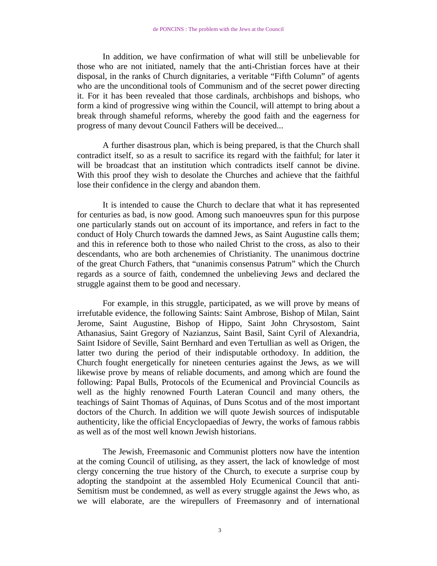In addition, we have confirmation of what will still be unbelievable for those who are not initiated, namely that the anti-Christian forces have at their disposal, in the ranks of Church dignitaries, a veritable "Fifth Column" of agents who are the unconditional tools of Communism and of the secret power directing it. For it has been revealed that those cardinals, archbishops and bishops, who form a kind of progressive wing within the Council, will attempt to bring about a break through shameful reforms, whereby the good faith and the eagerness for progress of many devout Council Fathers will be deceived...

A further disastrous plan, which is being prepared, is that the Church shall contradict itself, so as a result to sacrifice its regard with the faithful; for later it will be broadcast that an institution which contradicts itself cannot be divine. With this proof they wish to desolate the Churches and achieve that the faithful lose their confidence in the clergy and abandon them.

It is intended to cause the Church to declare that what it has represented for centuries as bad, is now good. Among such manoeuvres spun for this purpose one particularly stands out on account of its importance, and refers in fact to the conduct of Holy Church towards the damned Jews, as Saint Augustine calls them; and this in reference both to those who nailed Christ to the cross, as also to their descendants, who are both archenemies of Christianity. The unanimous doctrine of the great Church Fathers, that "unanimis consensus Patrum" which the Church regards as a source of faith, condemned the unbelieving Jews and declared the struggle against them to be good and necessary.

For example, in this struggle, participated, as we will prove by means of irrefutable evidence, the following Saints: Saint Ambrose, Bishop of Milan, Saint Jerome, Saint Augustine, Bishop of Hippo, Saint John Chrysostom, Saint Athanasius, Saint Gregory of Nazianzus, Saint Basil, Saint Cyril of Alexandria, Saint Isidore of Seville, Saint Bernhard and even Tertullian as well as Origen, the latter two during the period of their indisputable orthodoxy. In addition, the Church fought energetically for nineteen centuries against the Jews, as we will likewise prove by means of reliable documents, and among which are found the following: Papal Bulls, Protocols of the Ecumenical and Provincial Councils as well as the highly renowned Fourth Lateran Council and many others, the teachings of Saint Thomas of Aquinas, of Duns Scotus and of the most important doctors of the Church. In addition we will quote Jewish sources of indisputable authenticity, like the official Encyclopaedias of Jewry, the works of famous rabbis as well as of the most well known Jewish historians.

The Jewish, Freemasonic and Communist plotters now have the intention at the coming Council of utilising, as they assert, the lack of knowledge of most clergy concerning the true history of the Church, to execute a surprise coup by adopting the standpoint at the assembled Holy Ecumenical Council that anti-Semitism must be condemned, as well as every struggle against the Jews who, as we will elaborate, are the wirepullers of Freemasonry and of international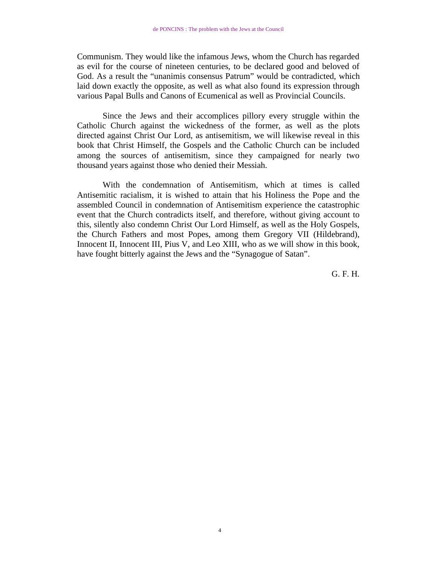Communism. They would like the infamous Jews, whom the Church has regarded as evil for the course of nineteen centuries, to be declared good and beloved of God. As a result the "unanimis consensus Patrum" would be contradicted, which laid down exactly the opposite, as well as what also found its expression through various Papal Bulls and Canons of Ecumenical as well as Provincial Councils.

Since the Jews and their accomplices pillory every struggle within the Catholic Church against the wickedness of the former, as well as the plots directed against Christ Our Lord, as antisemitism, we will likewise reveal in this book that Christ Himself, the Gospels and the Catholic Church can be included among the sources of antisemitism, since they campaigned for nearly two thousand years against those who denied their Messiah.

With the condemnation of Antisemitism, which at times is called Antisemitic racialism, it is wished to attain that his Holiness the Pope and the assembled Council in condemnation of Antisemitism experience the catastrophic event that the Church contradicts itself, and therefore, without giving account to this, silently also condemn Christ Our Lord Himself, as well as the Holy Gospels, the Church Fathers and most Popes, among them Gregory VII (Hildebrand), Innocent II, Innocent III, Pius V, and Leo XIII, who as we will show in this book, have fought bitterly against the Jews and the "Synagogue of Satan".

G. F. H.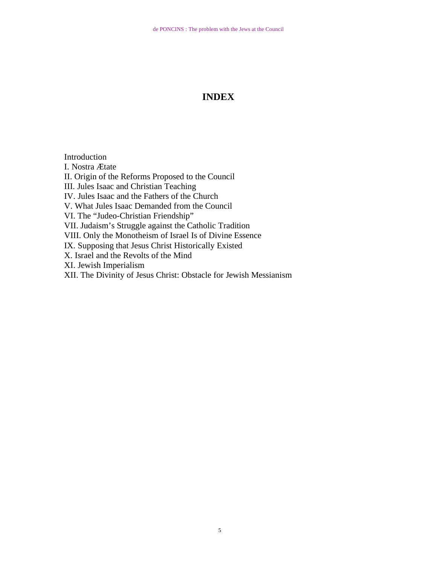#### **INDEX**

Introduction I. Nostra Ætate II. Origin of the Reforms Proposed to the Council III. Jules Isaac and Christian Teaching IV. Jules Isaac and the Fathers of the Church V. What Jules Isaac Demanded from the Council VI. The "Judeo-Christian Friendship" VII. Judaism's Struggle against the Catholic Tradition VIII. Only the Monotheism of Israel Is of Divine Essence IX. Supposing that Jesus Christ Historically Existed X. Israel and the Revolts of the Mind XI. Jewish Imperialism XII. The Divinity of Jesus Christ: Obstacle for Jewish Messianism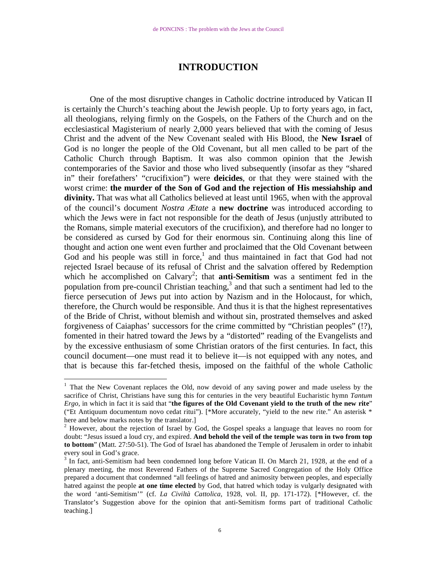#### **INTRODUCTION**

One of the most disruptive changes in Catholic doctrine introduced by Vatican II is certainly the Church's teaching about the Jewish people. Up to forty years ago, in fact, all theologians, relying firmly on the Gospels, on the Fathers of the Church and on the ecclesiastical Magisterium of nearly 2,000 years believed that with the coming of Jesus Christ and the advent of the New Covenant sealed with His Blood, the **New Israel** of God is no longer the people of the Old Covenant, but all men called to be part of the Catholic Church through Baptism. It was also common opinion that the Jewish contemporaries of the Savior and those who lived subsequently (insofar as they "shared in" their forefathers' "crucifixion") were **deicides**, or that they were stained with the worst crime: **the murder of the Son of God and the rejection of His messiahship and divinity.** That was what all Catholics believed at least until 1965, when with the approval of the council's document *Nostra Ætate* a **new doctrine** was introduced according to which the Jews were in fact not responsible for the death of Jesus (unjustly attributed to the Romans, simple material executors of the crucifixion), and therefore had no longer to be considered as cursed by God for their enormous sin. Continuing along this line of thought and action one went even further and proclaimed that the Old Covenant between God and his people was still in force, $<sup>1</sup>$  and thus maintained in fact that God had not</sup> rejected Israel because of its refusal of Christ and the salvation offered by Redemption which he accomplished on Calvary<sup>2</sup>; that **anti-Semitism** was a sentiment fed in the population from pre-council Christian teaching, $3$  and that such a sentiment had led to the fierce persecution of Jews put into action by Nazism and in the Holocaust, for which, therefore, the Church would be responsible. And thus it is that the highest representatives of the Bride of Christ, without blemish and without sin, prostrated themselves and asked forgiveness of Caiaphas' successors for the crime committed by "Christian peoples" (!?), fomented in their hatred toward the Jews by a "distorted" reading of the Evangelists and by the excessive enthusiasm of some Christian orators of the first centuries. In fact, this council document—one must read it to believe it—is not equipped with any notes, and that is because this far-fetched thesis, imposed on the faithful of the whole Catholic

<sup>&</sup>lt;sup>1</sup> That the New Covenant replaces the Old, now devoid of any saving power and made useless by the sacrifice of Christ, Christians have sung this for centuries in the very beautiful Eucharistic hymn *Tantum Ergo*, in which in fact it is said that "**the figures of the Old Covenant yield to the truth of the new rite**" ("Et Antiquum documentum novo cedat ritui"). [\*More accurately, "yield to the new rite." An asterisk \* here and below marks notes by the translator.]

 $2$  However, about the rejection of Israel by God, the Gospel speaks a language that leaves no room for doubt: "Jesus issued a loud cry, and expired. **And behold the veil of the temple was torn in two from top to bottom**" (Matt. 27:50-51). The God of Israel has abandoned the Temple of Jerusalem in order to inhabit every soul in God's grace.

<sup>&</sup>lt;sup>3</sup> In fact, anti-Semitism had been condemned long before Vatican II. On March 21, 1928, at the end of a plenary meeting, the most Reverend Fathers of the Supreme Sacred Congregation of the Holy Office prepared a document that condemned "all feelings of hatred and animosity between peoples, and especially hatred against the people **at one time elected** by God, that hatred which today is vulgarly designated with the word 'anti-Semitism'" (cf. *La Civiltà Cattolica*, 1928, vol. II, pp. 171-172). [\*However, cf. the Translator's Suggestion above for the opinion that anti-Semitism forms part of traditional Catholic teaching.]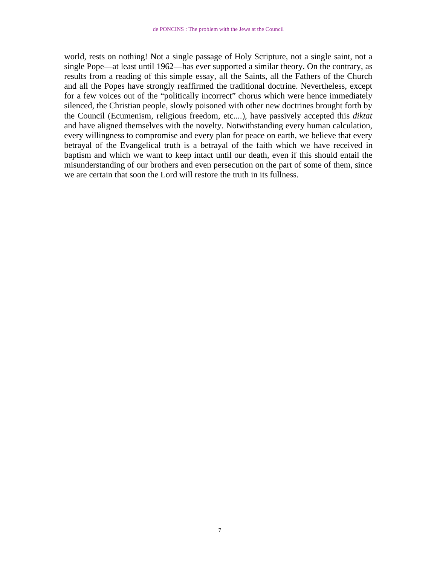world, rests on nothing! Not a single passage of Holy Scripture, not a single saint, not a single Pope—at least until 1962—has ever supported a similar theory. On the contrary, as results from a reading of this simple essay, all the Saints, all the Fathers of the Church and all the Popes have strongly reaffirmed the traditional doctrine. Nevertheless, except for a few voices out of the "politically incorrect" chorus which were hence immediately silenced, the Christian people, slowly poisoned with other new doctrines brought forth by the Council (Ecumenism, religious freedom, etc....), have passively accepted this *diktat* and have aligned themselves with the novelty. Notwithstanding every human calculation, every willingness to compromise and every plan for peace on earth, we believe that every betrayal of the Evangelical truth is a betrayal of the faith which we have received in baptism and which we want to keep intact until our death, even if this should entail the misunderstanding of our brothers and even persecution on the part of some of them, since we are certain that soon the Lord will restore the truth in its fullness.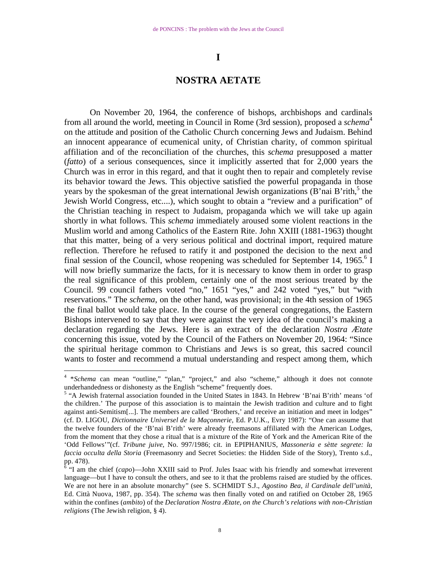#### **I**

## **NOSTRA AETATE**

On November 20, 1964, the conference of bishops, archbishops and cardinals from all around the world, meeting in Council in Rome (3rd session), proposed a *schema*<sup>4</sup> on the attitude and position of the Catholic Church concerning Jews and Judaism. Behind an innocent appearance of ecumenical unity, of Christian charity, of common spiritual affiliation and of the reconciliation of the churches, this *schema* presupposed a matter (*fatto*) of a serious consequences, since it implicitly asserted that for 2,000 years the Church was in error in this regard, and that it ought then to repair and completely revise its behavior toward the Jews. This objective satisfied the powerful propaganda in those years by the spokesman of the great international Jewish organizations (B'nai B'rith,<sup>5</sup> the Jewish World Congress, etc....), which sought to obtain a "review and a purification" of the Christian teaching in respect to Judaism, propaganda which we will take up again shortly in what follows. This *schema* immediately aroused some violent reactions in the Muslim world and among Catholics of the Eastern Rite. John XXIII (1881-1963) thought that this matter, being of a very serious political and doctrinal import, required mature reflection. Therefore he refused to ratify it and postponed the decision to the next and final session of the Council, whose reopening was scheduled for September 14, 1965. $6$  I will now briefly summarize the facts, for it is necessary to know them in order to grasp the real significance of this problem, certainly one of the most serious treated by the Council. 99 council fathers voted "no," 1651 "yes," and 242 voted "yes," but "with reservations." The *schema*, on the other hand, was provisional; in the 4th session of 1965 the final ballot would take place. In the course of the general congregations, the Eastern Bishops intervened to say that they were against the very idea of the council's making a declaration regarding the Jews. Here is an extract of the declaration *Nostra Ætate* concerning this issue, voted by the Council of the Fathers on November 20, 1964: "Since the spiritual heritage common to Christians and Jews is so great, this sacred council wants to foster and recommend a mutual understanding and respect among them, which

<sup>&</sup>lt;sup>4</sup> \**Schema* can mean "outline," "plan," "project," and also "scheme," although it does not connote underhandedness or dishonesty as the English "scheme" frequently does.

<sup>&</sup>lt;sup>5</sup> "A Jewish fraternal association founded in the United States in 1843. In Hebrew 'B'nai B'rith' means 'of the children.' The purpose of this association is to maintain the Jewish tradition and culture and to fight against anti-Semitism[...]. The members are called 'Brothers,' and receive an initiation and meet in lodges" (cf. D. LIGOU, *Dictionnaire Universel de la Maçonnerie*, Ed. P.U.K., Evry 1987): "One can assume that the twelve founders of the 'B'nai B'rith' were already freemasons affiliated with the American Lodges, from the moment that they chose a ritual that is a mixture of the Rite of York and the American Rite of the 'Odd Fellows'"(cf. *Tribune juive*, No. 997/1986; cit. in EPIPHANIUS, *Massoneria e sètte segrete: la faccia occulta della Storia* (Freemasonry and Secret Societies: the Hidden Side of the Story), Trento s.d., pp. 478).

 <sup>&</sup>quot;I am the chief (*capo*)—John XXIII said to Prof. Jules Isaac with his friendly and somewhat irreverent language—but I have to consult the others, and see to it that the problems raised are studied by the offices. We are not here in an absolute monarchy" (see S. SCHMIDT S.J., *Agostino Bea, il Cardinale dell'unità*, Ed. Città Nuova, 1987, pp. 354). The *schema* was then finally voted on and ratified on October 28, 1965 within the confines (*ambito*) of the *Declaration Nostra Ætate, on the Church's relations with non-Christian religions* (The Jewish religion, § 4).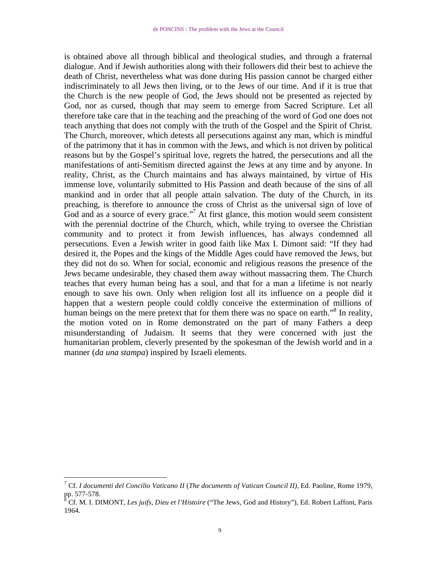is obtained above all through biblical and theological studies, and through a fraternal dialogue. And if Jewish authorities along with their followers did their best to achieve the death of Christ, nevertheless what was done during His passion cannot be charged either indiscriminately to all Jews then living, or to the Jews of our time. And if it is true that the Church is the new people of God, the Jews should not be presented as rejected by God, nor as cursed, though that may seem to emerge from Sacred Scripture. Let all therefore take care that in the teaching and the preaching of the word of God one does not teach anything that does not comply with the truth of the Gospel and the Spirit of Christ. The Church, moreover, which detests all persecutions against any man, which is mindful of the patrimony that it has in common with the Jews, and which is not driven by political reasons but by the Gospel's spiritual love, regrets the hatred, the persecutions and all the manifestations of anti-Semitism directed against the Jews at any time and by anyone. In reality, Christ, as the Church maintains and has always maintained, by virtue of His immense love, voluntarily submitted to His Passion and death because of the sins of all mankind and in order that all people attain salvation. The duty of the Church, in its preaching, is therefore to announce the cross of Christ as the universal sign of love of God and as a source of every grace."<sup>7</sup> At first glance, this motion would seem consistent with the perennial doctrine of the Church, which, while trying to oversee the Christian community and to protect it from Jewish influences, has always condemned all persecutions. Even a Jewish writer in good faith like Max I. Dimont said: "If they had desired it, the Popes and the kings of the Middle Ages could have removed the Jews, but they did not do so. When for social, economic and religious reasons the presence of the Jews became undesirable, they chased them away without massacring them. The Church teaches that every human being has a soul, and that for a man a lifetime is not nearly enough to save his own. Only when religion lost all its influence on a people did it happen that a western people could coldly conceive the extermination of millions of human beings on the mere pretext that for them there was no space on earth."<sup>8</sup> In reality, the motion voted on in Rome demonstrated on the part of many Fathers a deep misunderstanding of Judaism. It seems that they were concerned with just the humanitarian problem, cleverly presented by the spokesman of the Jewish world and in a manner (*da una stampa*) inspired by Israeli elements.

<sup>7</sup> Cf. *I documenti del Concilio Vaticano II* (*The documents of Vatican Council II)*, Ed. Paoline, Rome 1979, pp. 577-578.<br><sup>8</sup> C£ M J DJ

Cf. M. I. DIMONT, *Les juifs, Dieu et l'Histoire* ("The Jews, God and History"), Ed. Robert Laffont, Paris 1964.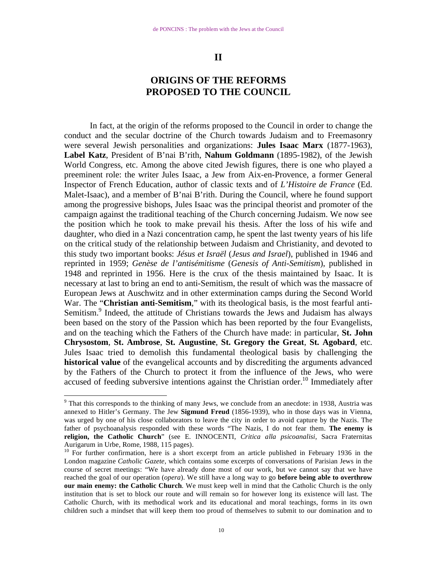**II** 

# **ORIGINS OF THE REFORMS PROPOSED TO THE COUNCIL**

In fact, at the origin of the reforms proposed to the Council in order to change the conduct and the secular doctrine of the Church towards Judaism and to Freemasonry were several Jewish personalities and organizations: **Jules Isaac Marx** (1877-1963), **Label Katz**, President of B'nai B'rith, **Nahum Goldmann** (1895-1982), of the Jewish World Congress, etc. Among the above cited Jewish figures, there is one who played a preeminent role: the writer Jules Isaac, a Jew from Aix-en-Provence, a former General Inspector of French Education, author of classic texts and of *L'Histoire de France* (Ed. Malet-Isaac), and a member of B'nai B'rith. During the Council, where he found support among the progressive bishops, Jules Isaac was the principal theorist and promoter of the campaign against the traditional teaching of the Church concerning Judaism. We now see the position which he took to make prevail his thesis. After the loss of his wife and daughter, who died in a Nazi concentration camp, he spent the last twenty years of his life on the critical study of the relationship between Judaism and Christianity, and devoted to this study two important books: *Jésus et Israël* (*Jesus and Israel*), published in 1946 and reprinted in 1959; *Genèse de l'antisémitisme* (*Genesis of Anti-Semitism*), published in 1948 and reprinted in 1956. Here is the crux of the thesis maintained by Isaac. It is necessary at last to bring an end to anti-Semitism, the result of which was the massacre of European Jews at Auschwitz and in other extermination camps during the Second World War. The "**Christian anti-Semitism**," with its theological basis, is the most fearful anti-Semitism.<sup>9</sup> Indeed, the attitude of Christians towards the Jews and Judaism has always been based on the story of the Passion which has been reported by the four Evangelists, and on the teaching which the Fathers of the Church have made: in particular, **St. John Chrysostom**, **St. Ambrose**, **St. Augustine**, **St. Gregory the Great**, **St. Agobard**, etc. Jules Isaac tried to demolish this fundamental theological basis by challenging the **historical value** of the evangelical accounts and by discrediting the arguments advanced by the Fathers of the Church to protect it from the influence of the Jews, who were accused of feeding subversive intentions against the Christian order.<sup>10</sup> Immediately after

 $9$  That this corresponds to the thinking of many Jews, we conclude from an anecdote: in 1938, Austria was annexed to Hitler's Germany. The Jew **Sigmund Freud** (1856-1939), who in those days was in Vienna, was urged by one of his close collaborators to leave the city in order to avoid capture by the Nazis. The father of psychoanalysis responded with these words "The Nazis, I do not fear them. **The enemy is religion, the Catholic Church**" (see E. INNOCENTI, *Critica alla psicoanalisi*, Sacra Fraternitas Aurigarum in Urbe, Rome, 1988, 115 pages).

<sup>&</sup>lt;sup>10</sup> For further confirmation, here is a short excerpt from an article published in February 1936 in the London magazine *Catholic Gazete*, which contains some excerpts of conversations of Parisian Jews in the course of secret meetings: "We have already done most of our work, but we cannot say that we have reached the goal of our operation (*opera*). We still have a long way to go **before being able to overthrow our main enemy: the Catholic Church**. We must keep well in mind that the Catholic Church is the only institution that is set to block our route and will remain so for however long its existence will last. The Catholic Church, with its methodical work and its educational and moral teachings, forms in its own children such a mindset that will keep them too proud of themselves to submit to our domination and to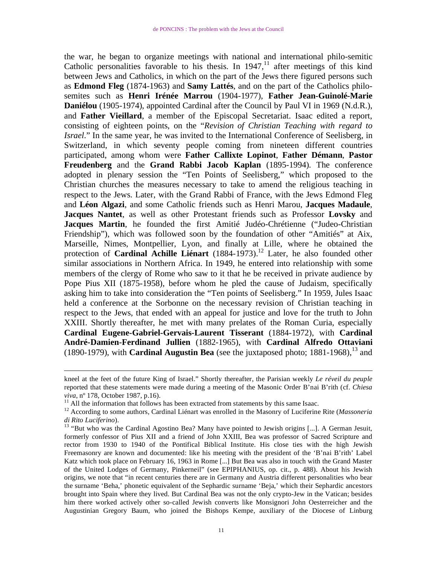the war, he began to organize meetings with national and international philo-semitic Catholic personalities favorable to his thesis. In  $1947$ ,<sup>11</sup> after meetings of this kind between Jews and Catholics, in which on the part of the Jews there figured persons such as **Edmond Fleg** (1874-1963) and **Samy Lattés**, and on the part of the Catholics philosemites such as **Henri Irénée Marrou** (1904-1977), **Father Jean-Guinolé-Marie Daniélou** (1905-1974), appointed Cardinal after the Council by Paul VI in 1969 (N.d.R.), and **Father Vieillard**, a member of the Episcopal Secretariat. Isaac edited a report, consisting of eighteen points, on the "*Revision of Christian Teaching with regard to Israel*." In the same year, he was invited to the International Conference of Seelisberg, in Switzerland, in which seventy people coming from nineteen different countries participated, among whom were **Father Callixte Lopinot**, **Father Démann**, **Pastor Freudenberg** and the **Grand Rabbi Jacob Kaplan** (1895-1994). The conference adopted in plenary session the "Ten Points of Seelisberg," which proposed to the Christian churches the measures necessary to take to amend the religious teaching in respect to the Jews. Later, with the Grand Rabbi of France, with the Jews Edmond Fleg and **Léon Algazi**, and some Catholic friends such as Henri Marou, **Jacques Madaule**, **Jacques Nantet**, as well as other Protestant friends such as Professor **Lovsky** and Jacques Martin, he founded the first Amitié Judéo-Chrétienne ("Judeo-Christian Friendship"), which was followed soon by the foundation of other "Amitiés" at Aix, Marseille, Nimes, Montpellier, Lyon, and finally at Lille, where he obtained the protection of **Cardinal Achille Liénart** (1884-1973).<sup>12</sup> Later, he also founded other similar associations in Northern Africa. In 1949, he entered into relationship with some members of the clergy of Rome who saw to it that he be received in private audience by Pope Pius XII (1875-1958), before whom he pled the cause of Judaism, specifically asking him to take into consideration the "Ten points of Seelisberg." In 1959, Jules Isaac held a conference at the Sorbonne on the necessary revision of Christian teaching in respect to the Jews, that ended with an appeal for justice and love for the truth to John XXIII. Shortly thereafter, he met with many prelates of the Roman Curia, especially **Cardinal Eugene-Gabriel-Gervais-Laurent Tisserant** (1884-1972), with **Cardinal André-Damien-Ferdinand Jullien** (1882-1965), with **Cardinal Alfredo Ottaviani** (1890-1979), with **Cardinal Augustin Bea** (see the juxtaposed photo; 1881-1968),  $^{13}$  and

kneel at the feet of the future King of Israel." Shortly thereafter, the Parisian weekly *Le réveil du peuple* reported that these statements were made during a meeting of the Masonic Order B'nai B'rith (cf. *Chiesa viva*, n° 178, October 1987, p.16).<br><sup>11</sup> All the information that follows has been extracted from statements by this same Isaac.

<sup>12</sup> According to some authors, Cardinal Liénart was enrolled in the Masonry of Luciferine Rite (*Massoneria di Rito Luciferino*).<br><sup>13</sup> "But who was the Cardinal Agostino Bea? Many have pointed to Jewish origins [...]. A German Jesuit,

formerly confessor of Pius XII and a friend of John XXIII, Bea was professor of Sacred Scripture and rector from 1930 to 1940 of the Pontifical Biblical Institute. His close ties with the high Jewish Freemasonry are known and documented: like his meeting with the president of the 'B'nai B'rith' Label Katz which took place on February 16, 1963 in Rome [...] But Bea was also in touch with the Grand Master of the United Lodges of Germany, Pinkerneil" (see EPIPHANIUS, op. cit., p. 488). About his Jewish origins, we note that "in recent centuries there are in Germany and Austria different personalities who bear the surname 'Beha,' phonetic equivalent of the Sephardic surname 'Beja,' which their Sephardic ancestors brought into Spain where they lived. But Cardinal Bea was not the only crypto-Jew in the Vatican; besides him there worked actively other so-called Jewish converts like Monsignori John Oesterreicher and the Augustinian Gregory Baum, who joined the Bishops Kempe, auxiliary of the Diocese of Linburg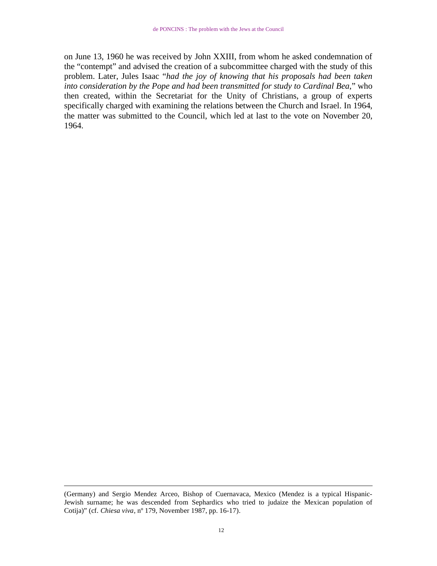on June 13, 1960 he was received by John XXIII, from whom he asked condemnation of the "contempt" and advised the creation of a subcommittee charged with the study of this problem. Later, Jules Isaac "*had the joy of knowing that his proposals had been taken into consideration by the Pope and had been transmitted for study to Cardinal Bea*," who then created, within the Secretariat for the Unity of Christians, a group of experts specifically charged with examining the relations between the Church and Israel. In 1964, the matter was submitted to the Council, which led at last to the vote on November 20, 1964.

 <sup>(</sup>Germany) and Sergio Mendez Arceo, Bishop of Cuernavaca, Mexico (Mendez is a typical Hispanic-Jewish surname; he was descended from Sephardics who tried to judaize the Mexican population of Cotija)" (cf. *Chiesa viva*, nº 179, November 1987, pp. 16-17).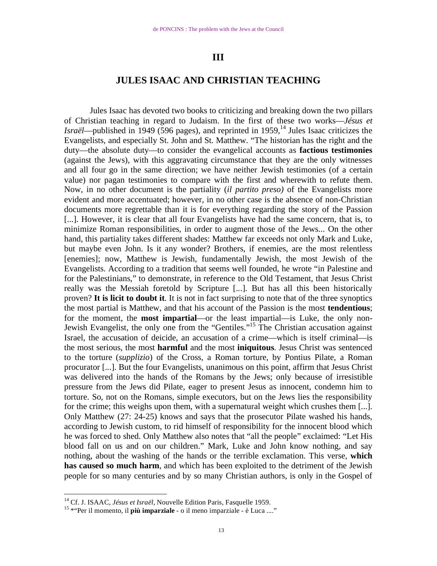**III** 

## **JULES ISAAC AND CHRISTIAN TEACHING**

Jules Isaac has devoted two books to criticizing and breaking down the two pillars of Christian teaching in regard to Judaism. In the first of these two works—*Jésus et Israël*—published in 1949 (596 pages), and reprinted in 1959,<sup>14</sup> Jules Isaac criticizes the Evangelists, and especially St. John and St. Matthew. "The historian has the right and the duty—the absolute duty—to consider the evangelical accounts as **factious testimonies** (against the Jews), with this aggravating circumstance that they are the only witnesses and all four go in the same direction; we have neither Jewish testimonies (of a certain value) nor pagan testimonies to compare with the first and wherewith to refute them. Now, in no other document is the partiality (*il partito preso)* of the Evangelists more evident and more accentuated; however, in no other case is the absence of non-Christian documents more regrettable than it is for everything regarding the story of the Passion [...]. However, it is clear that all four Evangelists have had the same concern, that is, to minimize Roman responsibilities, in order to augment those of the Jews... On the other hand, this partiality takes different shades: Matthew far exceeds not only Mark and Luke, but maybe even John. Is it any wonder? Brothers, if enemies, are the most relentless [enemies]; now, Matthew is Jewish, fundamentally Jewish, the most Jewish of the Evangelists. According to a tradition that seems well founded, he wrote "in Palestine and for the Palestinians," to demonstrate, in reference to the Old Testament, that Jesus Christ really was the Messiah foretold by Scripture [...]. But has all this been historically proven? **It is licit to doubt it**. It is not in fact surprising to note that of the three synoptics the most partial is Matthew, and that his account of the Passion is the most **tendentious**; for the moment, the **most impartial**—or the least impartial—is Luke, the only non-Jewish Evangelist, the only one from the "Gentiles."15 The Christian accusation against Israel, the accusation of deicide, an accusation of a crime—which is itself criminal—is the most serious, the most **harmful** and the most **iniquitous**. Jesus Christ was sentenced to the torture (*supplizio*) of the Cross, a Roman torture, by Pontius Pilate, a Roman procurator [...]. But the four Evangelists, unanimous on this point, affirm that Jesus Christ was delivered into the hands of the Romans by the Jews; only because of irresistible pressure from the Jews did Pilate, eager to present Jesus as innocent, condemn him to torture. So, not on the Romans, simple executors, but on the Jews lies the responsibility for the crime; this weighs upon them, with a supernatural weight which crushes them [...]. Only Matthew (27: 24-25) knows and says that the prosecutor Pilate washed his hands, according to Jewish custom, to rid himself of responsibility for the innocent blood which he was forced to shed. Only Matthew also notes that "all the people" exclaimed: "Let His blood fall on us and on our children." Mark, Luke and John know nothing, and say nothing, about the washing of the hands or the terrible exclamation. This verse, **which has caused so much harm**, and which has been exploited to the detriment of the Jewish people for so many centuries and by so many Christian authors, is only in the Gospel of

<sup>&</sup>lt;sup>14</sup> Cf. J. ISAAC, *Jésus et Israël*, Nouvelle Edition Paris, Fasquelle 1959.

<sup>&</sup>lt;sup>15</sup> \*"Per il momento, il **più imparziale** - o il meno imparziale - è Luca ...."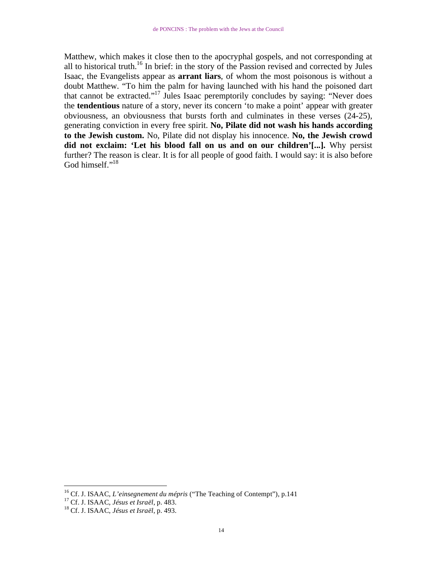Matthew, which makes it close then to the apocryphal gospels, and not corresponding at all to historical truth.16 In brief: in the story of the Passion revised and corrected by Jules Isaac, the Evangelists appear as **arrant liars**, of whom the most poisonous is without a doubt Matthew. "To him the palm for having launched with his hand the poisoned dart that cannot be extracted."<sup>17</sup> Jules Isaac peremptorily concludes by saying: "Never does the **tendentious** nature of a story, never its concern 'to make a point' appear with greater obviousness, an obviousness that bursts forth and culminates in these verses (24-25), generating conviction in every free spirit. **No, Pilate did not wash his hands according to the Jewish custom.** No, Pilate did not display his innocence. **No, the Jewish crowd did not exclaim: 'Let his blood fall on us and on our children'[...].** Why persist further? The reason is clear. It is for all people of good faith. I would say: it is also before God himself."<sup>18</sup>

<u>.</u>

<sup>&</sup>lt;sup>16</sup> Cf. J. ISAAC, *L'einsegnement du mépris* ("The Teaching of Contempt"), p.141<sup>17</sup> Cf. J. ISAAC, *Jésus et Israël*, p. 483. <sup>18</sup> Cf. J. ISAAC, *Jésus et Israël*, p. 493.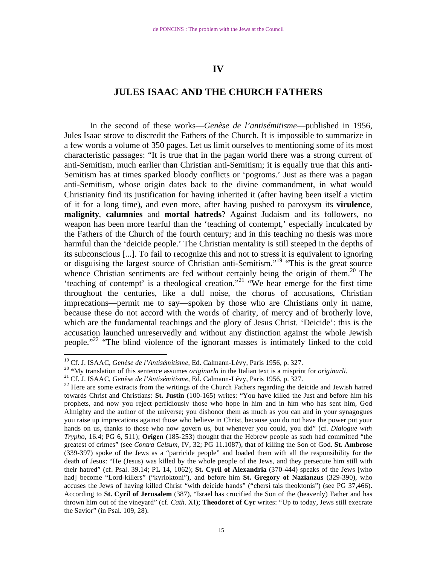#### **IV**

# **JULES ISAAC AND THE CHURCH FATHERS**

In the second of these works—*Genèse de l'antisémitisme*—published in 1956, Jules Isaac strove to discredit the Fathers of the Church. It is impossible to summarize in a few words a volume of 350 pages. Let us limit ourselves to mentioning some of its most characteristic passages: "It is true that in the pagan world there was a strong current of anti-Semitism, much earlier than Christian anti-Semitism; it is equally true that this anti-Semitism has at times sparked bloody conflicts or 'pogroms.' Just as there was a pagan anti-Semitism, whose origin dates back to the divine commandment, in what would Christianity find its justification for having inherited it (after having been itself a victim of it for a long time), and even more, after having pushed to paroxysm its **virulence**, **malignity**, **calumnies** and **mortal hatreds**? Against Judaism and its followers, no weapon has been more fearful than the 'teaching of contempt,' especially inculcated by the Fathers of the Church of the fourth century; and in this teaching no thesis was more harmful than the 'deicide people.' The Christian mentality is still steeped in the depths of its subconscious [...]. To fail to recognize this and not to stress it is equivalent to ignoring or disguising the largest source of Christian anti-Semitism."19 "This is the great source whence Christian sentiments are fed without certainly being the origin of them.<sup>20</sup> The 'teaching of contempt' is a theological creation."21 "We hear emerge for the first time throughout the centuries, like a dull noise, the chorus of accusations, Christian imprecations—permit me to say—spoken by those who are Christians only in name, because these do not accord with the words of charity, of mercy and of brotherly love, which are the fundamental teachings and the glory of Jesus Christ. 'Deicide': this is the accusation launched unreservedly and without any distinction against the whole Jewish people."22 "The blind violence of the ignorant masses is intimately linked to the cold

<sup>&</sup>lt;sup>19</sup> Cf. J. ISAAC, Genèse de l'Antisémitisme, Ed. Calmann-Lévy, Paris 1956, p. 327.

<sup>&</sup>lt;sup>20</sup> \*My translation of this sentence assumes *originarla* in the Italian text is a misprint for *originarli*.<br><sup>21</sup> Cf. J. ISAAC, *Genèse de l'Antisémitisme*, Ed. Calmann-Lévy, Paris 1956, p. 327.<br><sup>22</sup> Here are some extra towards Christ and Christians: **St. Justin** (100-165) writes: "You have killed the Just and before him his prophets, and now you reject perfidiously those who hope in him and in him who has sent him, God Almighty and the author of the universe; you dishonor them as much as you can and in your synagogues you raise up imprecations against those who believe in Christ, because you do not have the power put your hands on us, thanks to those who now govern us, but whenever you could, you did" (cf. *Dialogue with Trypho*, 16.4; PG 6, 511); **Origen** (185-253) thought that the Hebrew people as such had committed "the greatest of crimes" (see *Contra Celsum*, IV, 32; PG 11.1087), that of killing the Son of God. **St. Ambrose** (339-397) spoke of the Jews as a "parricide people" and loaded them with all the responsibility for the death of Jesus: "He (Jesus) was killed by the whole people of the Jews, and they persecute him still with their hatred" (cf. Psal. 39.14; PL 14, 1062); **St. Cyril of Alexandria** (370-444) speaks of the Jews [who had] become "Lord-killers" ("kyrioktoni"), and before him **St. Gregory of Nazianzus** (329-390), who accuses the Jews of having killed Christ "with deicide hands" ("chersi taìs theoktonis") (see PG 37,466). According to **St. Cyril of Jerusalem** (387), "Israel has crucified the Son of the (heavenly) Father and has thrown him out of the vineyard" (cf. *Cath*. XI); **Theodoret of Cyr** writes: "Up to today, Jews still execrate the Savior" (in Psal. 109, 28).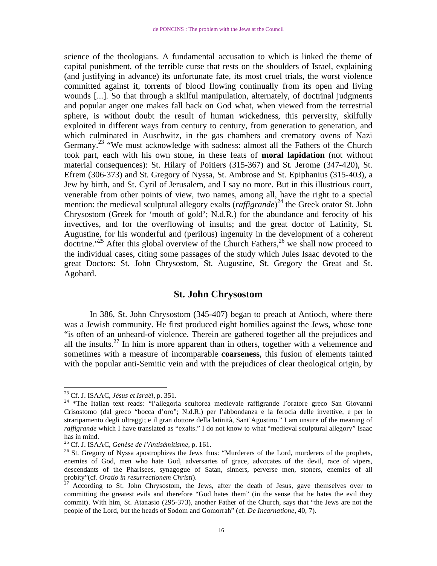science of the theologians. A fundamental accusation to which is linked the theme of capital punishment, of the terrible curse that rests on the shoulders of Israel, explaining (and justifying in advance) its unfortunate fate, its most cruel trials, the worst violence committed against it, torrents of blood flowing continually from its open and living wounds [...]. So that through a skilful manipulation, alternately, of doctrinal judgments and popular anger one makes fall back on God what, when viewed from the terrestrial sphere, is without doubt the result of human wickedness, this perversity, skilfully exploited in different ways from century to century, from generation to generation, and which culminated in Auschwitz, in the gas chambers and crematory ovens of Nazi Germany.<sup>23</sup> "We must acknowledge with sadness: almost all the Fathers of the Church took part, each with his own stone, in these feats of **moral lapidation** (not without material consequences): St. Hilary of Poitiers (315-367) and St. Jerome (347-420), St. Efrem (306-373) and St. Gregory of Nyssa, St. Ambrose and St. Epiphanius (315-403), a Jew by birth, and St. Cyril of Jerusalem, and I say no more. But in this illustrious court, venerable from other points of view, two names, among all, have the right to a special mention: the medieval sculptural allegory exalts (*raffigrande*) 24 the Greek orator St. John Chrysostom (Greek for 'mouth of gold'; N.d.R.) for the abundance and ferocity of his invectives, and for the overflowing of insults; and the great doctor of Latinity, St. Augustine, for his wonderful and (perilous) ingenuity in the development of a coherent doctrine."<sup>25</sup> After this global overview of the Church Fathers,<sup>26</sup> we shall now proceed to the individual cases, citing some passages of the study which Jules Isaac devoted to the great Doctors: St. John Chrysostom, St. Augustine, St. Gregory the Great and St. Agobard.

#### **St. John Chrysostom**

In 386, St. John Chrysostom (345-407) began to preach at Antioch, where there was a Jewish community. He first produced eight homilies against the Jews, whose tone "is often of an unheard-of violence. Therein are gathered together all the prejudices and all the insults. $27$  In him is more apparent than in others, together with a vehemence and sometimes with a measure of incomparable **coarseness**, this fusion of elements tainted with the popular anti-Semitic vein and with the prejudices of clear theological origin, by

<u>.</u>

<sup>&</sup>lt;sup>23</sup> Cf. J. ISAAC, *Jésus et Israël*, p. 351.<br><sup>24</sup> \*The Italian text reads: "l'allegoria scultorea medievale raffigrande l'oratore greco San Giovanni Crisostomo (dal greco "bocca d'oro"; N.d.R.) per l'abbondanza e la ferocia delle invettive, e per lo straripamento degli oltraggi; e il gran dottore della latinità, Sant'Agostino." I am unsure of the meaning of *raffigrande* which I have translated as "exalts." I do not know to what "medieval sculptural allegory" Isaac has in mind.<br><sup>25</sup> Cf. J. ISAAC, *Genèse de l'Antisémitisme*, p. 161.

<sup>&</sup>lt;sup>26</sup> St. Gregory of Nyssa apostrophizes the Jews thus: "Murderers of the Lord, murderers of the prophets, enemies of God, men who hate God, adversaries of grace, advocates of the devil, race of vipers, descendants of the Pharisees, synagogue of Satan, sinners, perverse men, stoners, enemies of all probity"(cf. *Oratio in resurrectionem Christi*).<br><sup>27</sup> According to St. John Chrysostom, the Jews, after the death of Jesus, gave themselves over to

committing the greatest evils and therefore "God hates them" (in the sense that he hates the evil they commit). With him, St. Atanasio (295-373), another Father of the Church, says that "the Jews are not the people of the Lord, but the heads of Sodom and Gomorrah" (cf. *De Incarnatione*, 40, 7).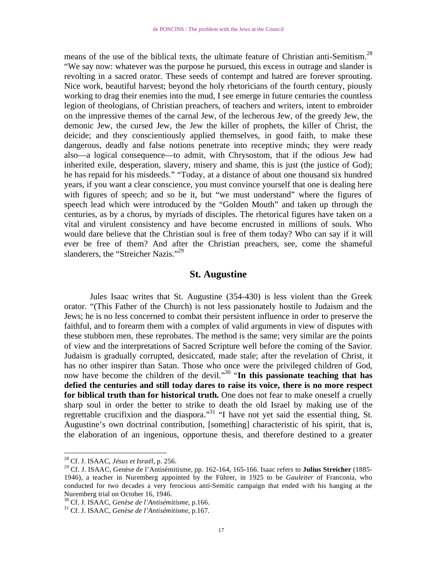means of the use of the biblical texts, the ultimate feature of Christian anti-Semitism.<sup>28</sup> "We say now: whatever was the purpose he pursued, this excess in outrage and slander is revolting in a sacred orator. These seeds of contempt and hatred are forever sprouting. Nice work, beautiful harvest; beyond the holy rhetoricians of the fourth century, piously working to drag their enemies into the mud, I see emerge in future centuries the countless legion of theologians, of Christian preachers, of teachers and writers, intent to embroider on the impressive themes of the carnal Jew, of the lecherous Jew, of the greedy Jew, the demonic Jew, the cursed Jew, the Jew the killer of prophets, the killer of Christ, the deicide; and they conscientiously applied themselves, in good faith, to make these dangerous, deadly and false notions penetrate into receptive minds; they were ready also—a logical consequence—to admit, with Chrysostom, that if the odious Jew had inherited exile, desperation, slavery, misery and shame, this is just (the justice of God); he has repaid for his misdeeds." "Today, at a distance of about one thousand six hundred years, if you want a clear conscience, you must convince yourself that one is dealing here with figures of speech; and so be it, but "we must understand" where the figures of speech lead which were introduced by the "Golden Mouth" and taken up through the centuries, as by a chorus, by myriads of disciples. The rhetorical figures have taken on a vital and virulent consistency and have become encrusted in millions of souls. Who would dare believe that the Christian soul is free of them today? Who can say if it will ever be free of them? And after the Christian preachers, see, come the shameful slanderers, the "Streicher Nazis."<sup>29</sup>

#### **St. Augustine**

Jules Isaac writes that St. Augustine (354-430) is less violent than the Greek orator. "(This Father of the Church) is not less passionately hostile to Judaism and the Jews; he is no less concerned to combat their persistent influence in order to preserve the faithful, and to forearm them with a complex of valid arguments in view of disputes with these stubborn men, these reprobates. The method is the same; very similar are the points of view and the interpretations of Sacred Scripture well before the coming of the Savior. Judaism is gradually corrupted, desiccated, made stale; after the revelation of Christ, it has no other inspirer than Satan. Those who once were the privileged children of God, now have become the children of the devil."30 "**In this passionate teaching that has defied the centuries and still today dares to raise its voice, there is no more respect for biblical truth than for historical truth.** One does not fear to make oneself a cruelly sharp soul in order the better to strike to death the old Israel by making use of the regrettable crucifixion and the diaspora."<sup>31</sup> "I have not yet said the essential thing, St. Augustine's own doctrinal contribution, [something] characteristic of his spirit, that is, the elaboration of an ingenious, opportune thesis, and therefore destined to a greater

<u>.</u>

<sup>28</sup> Cf. J. ISAAC, *Jésus et Israël*, p. 256.

<sup>29</sup> Cf. J. ISAAC, Genèse de l'Antisémitisme, pp. 162-164, 165-166. Isaac refers to **Julius Streicher** (1885- 1946), a teacher in Nuremberg appointed by the Führer, in 1925 to be *Gauleiter* of Franconia, who conducted for two decades a very ferocious anti-Semitic campaign that ended with his hanging at the Nuremberg trial on October 16, 1946.<br><sup>30</sup> Cf. J. ISAAC, *Genèse de l'Antisémitisme*, p.166.

<sup>&</sup>lt;sup>31</sup> Cf. J. ISAAC, *Genèse de l'Antisémitisme*, p.167.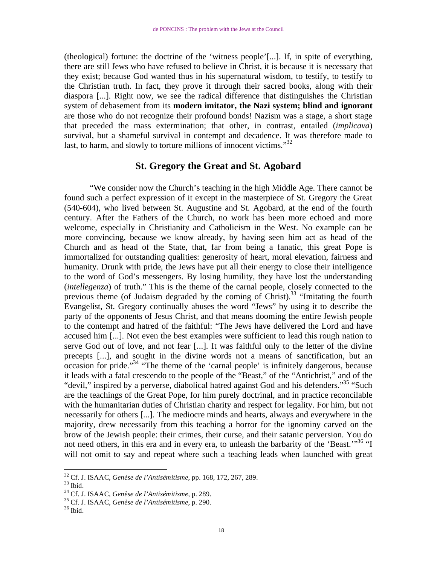(theological) fortune: the doctrine of the 'witness people'[...]. If, in spite of everything, there are still Jews who have refused to believe in Christ, it is because it is necessary that they exist; because God wanted thus in his supernatural wisdom, to testify, to testify to the Christian truth. In fact, they prove it through their sacred books, along with their diaspora [...]. Right now, we see the radical difference that distinguishes the Christian system of debasement from its **modern imitator, the Nazi system; blind and ignorant** are those who do not recognize their profound bonds! Nazism was a stage, a short stage that preceded the mass extermination; that other, in contrast, entailed (*implicava*) survival, but a shameful survival in contempt and decadence. It was therefore made to last, to harm, and slowly to torture millions of innocent victims." $32$ 

# **St. Gregory the Great and St. Agobard**

"We consider now the Church's teaching in the high Middle Age. There cannot be found such a perfect expression of it except in the masterpiece of St. Gregory the Great (540-604), who lived between St. Augustine and St. Agobard, at the end of the fourth century. After the Fathers of the Church, no work has been more echoed and more welcome, especially in Christianity and Catholicism in the West. No example can be more convincing, because we know already, by having seen him act as head of the Church and as head of the State, that, far from being a fanatic, this great Pope is immortalized for outstanding qualities: generosity of heart, moral elevation, fairness and humanity. Drunk with pride, the Jews have put all their energy to close their intelligence to the word of God's messengers. By losing humility, they have lost the understanding (*intellegenza*) of truth." This is the theme of the carnal people, closely connected to the previous theme (of Judaism degraded by the coming of Christ).<sup>33</sup> "Imitating the fourth Evangelist, St. Gregory continually abuses the word "Jews" by using it to describe the party of the opponents of Jesus Christ, and that means dooming the entire Jewish people to the contempt and hatred of the faithful: "The Jews have delivered the Lord and have accused him [...]. Not even the best examples were sufficient to lead this rough nation to serve God out of love, and not fear [...]. It was faithful only to the letter of the divine precepts [...], and sought in the divine words not a means of sanctification, but an occasion for pride."34 "The theme of the 'carnal people' is infinitely dangerous, because it leads with a fatal crescendo to the people of the "Beast," of the "Antichrist," and of the "devil," inspired by a perverse, diabolical hatred against God and his defenders."<sup>35</sup> "Such are the teachings of the Great Pope, for him purely doctrinal, and in practice reconcilable with the humanitarian duties of Christian charity and respect for legality. For him, but not necessarily for others [...]. The mediocre minds and hearts, always and everywhere in the majority, drew necessarily from this teaching a horror for the ignominy carved on the brow of the Jewish people: their crimes, their curse, and their satanic perversion. You do not need others, in this era and in every era, to unleash the barbarity of the 'Beast.'"<sup>36</sup> "I will not omit to say and repeat where such a teaching leads when launched with great

1

<sup>&</sup>lt;sup>32</sup> Cf. J. ISAAC, *Genèse de l'Antisémitisme*, pp. 168, 172, 267, 289.<br><sup>33</sup> Ibid.

<sup>34</sup> Cf. J. ISAAC, *Genèse de l'Antisémitisme*, p. 289. 35 Cf. J. ISAAC, *Genèse de l'Antisémitisme*, p. 290. 36 Ibid.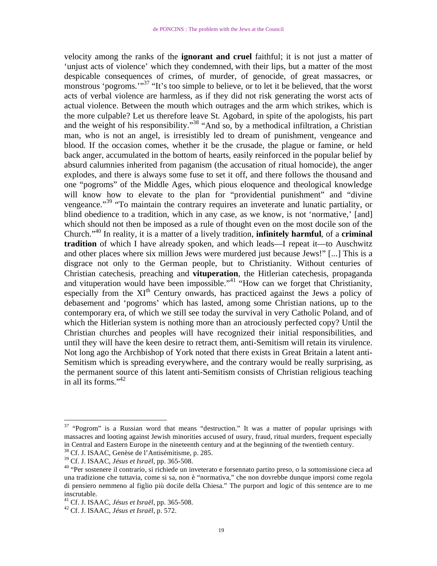velocity among the ranks of the **ignorant and cruel** faithful; it is not just a matter of 'unjust acts of violence' which they condemned, with their lips, but a matter of the most despicable consequences of crimes, of murder, of genocide, of great massacres, or monstrous 'pogroms.'"<sup>37</sup> "It's too simple to believe, or to let it be believed, that the worst acts of verbal violence are harmless, as if they did not risk generating the worst acts of actual violence. Between the mouth which outrages and the arm which strikes, which is the more culpable? Let us therefore leave St. Agobard, in spite of the apologists, his part and the weight of his responsibility."<sup>38</sup> "And so, by a methodical infiltration, a Christian man, who is not an angel, is irresistibly led to dream of punishment, vengeance and blood. If the occasion comes, whether it be the crusade, the plague or famine, or held back anger, accumulated in the bottom of hearts, easily reinforced in the popular belief by absurd calumnies inherited from paganism (the accusation of ritual homocide), the anger explodes, and there is always some fuse to set it off, and there follows the thousand and one "pogroms" of the Middle Ages, which pious eloquence and theological knowledge will know how to elevate to the plan for "providential punishment" and "divine vengeance."<sup>39</sup> "To maintain the contrary requires an inveterate and lunatic partiality, or blind obedience to a tradition, which in any case, as we know, is not 'normative,' [and] which should not then be imposed as a rule of thought even on the most docile son of the Church."40 In reality, it is a matter of a lively tradition, **infinitely harmful**, of a **criminal tradition** of which I have already spoken, and which leads—I repeat it—to Auschwitz and other places where six million Jews were murdered just because Jews!" [...] This is a disgrace not only to the German people, but to Christianity. Without centuries of Christian catechesis, preaching and **vituperation**, the Hitlerian catechesis, propaganda and vituperation would have been impossible."41 "How can we forget that Christianity, especially from the XI<sup>th</sup> Century onwards, has practiced against the Jews a policy of debasement and 'pogroms' which has lasted, among some Christian nations, up to the contemporary era, of which we still see today the survival in very Catholic Poland, and of which the Hitlerian system is nothing more than an atrociously perfected copy? Until the Christian churches and peoples will have recognized their initial responsibilities, and until they will have the keen desire to retract them, anti-Semitism will retain its virulence. Not long ago the Archbishop of York noted that there exists in Great Britain a latent anti-Semitism which is spreading everywhere, and the contrary would be really surprising, as the permanent source of this latent anti-Semitism consists of Christian religious teaching in all its forms."<sup>42</sup>

<sup>&</sup>lt;sup>37</sup> "Pogrom" is a Russian word that means "destruction." It was a matter of popular uprisings with massacres and looting against Jewish minorities accused of usury, fraud, ritual murders, frequent especially in Central and Eastern Europe in the nineteenth century and at the beginning of the twentieth century.

<sup>&</sup>lt;sup>38</sup> Cf. J. ISAAC, Genèse de l'Antisémitisme, p. 285.<br><sup>39</sup> Cf. J. ISAAC, *Jésus et Israël*, pp. 365-508.

<sup>&</sup>lt;sup>40</sup> "Per sostenere il contrario, si richiede un inveterato e forsennato partito preso, o la sottomissione cieca ad una tradizione che tuttavia, come si sa, non è "normativa," che non dovrebbe dunque imporsi come regola di pensiero nemmeno al figlio più docile della Chiesa." The purport and logic of this sentence are to me inscrutable.

<sup>41</sup> Cf. J. ISAAC, *Jésus et Israël*, pp. 365-508. 42 Cf. J. ISAAC, *Jésus et Israël*, p. 572.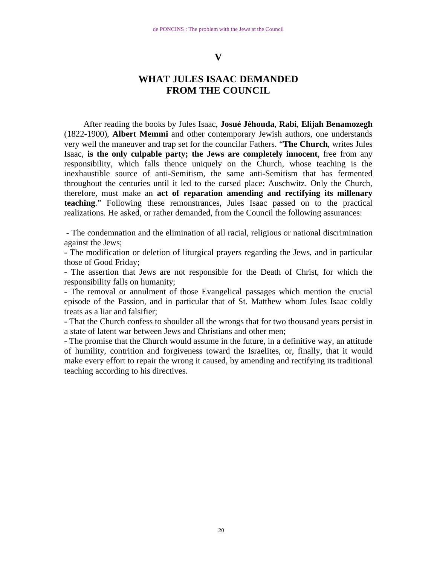#### **V**

# **WHAT JULES ISAAC DEMANDED FROM THE COUNCIL**

After reading the books by Jules Isaac, **Josué Jéhouda**, **Rabi**, **Elijah Benamozegh** (1822-1900), **Albert Memmi** and other contemporary Jewish authors, one understands very well the maneuver and trap set for the councilar Fathers. "**The Church**, writes Jules Isaac, **is the only culpable party; the Jews are completely innocent**, free from any responsibility, which falls thence uniquely on the Church, whose teaching is the inexhaustible source of anti-Semitism, the same anti-Semitism that has fermented throughout the centuries until it led to the cursed place: Auschwitz. Only the Church, therefore, must make an **act of reparation amending and rectifying its millenary teaching**." Following these remonstrances, Jules Isaac passed on to the practical realizations. He asked, or rather demanded, from the Council the following assurances:

 - The condemnation and the elimination of all racial, religious or national discrimination against the Jews;

- The modification or deletion of liturgical prayers regarding the Jews, and in particular those of Good Friday;

- The assertion that Jews are not responsible for the Death of Christ, for which the responsibility falls on humanity;

- The removal or annulment of those Evangelical passages which mention the crucial episode of the Passion, and in particular that of St. Matthew whom Jules Isaac coldly treats as a liar and falsifier;

- That the Church confess to shoulder all the wrongs that for two thousand years persist in a state of latent war between Jews and Christians and other men;

- The promise that the Church would assume in the future, in a definitive way, an attitude of humility, contrition and forgiveness toward the Israelites, or, finally, that it would make every effort to repair the wrong it caused, by amending and rectifying its traditional teaching according to his directives.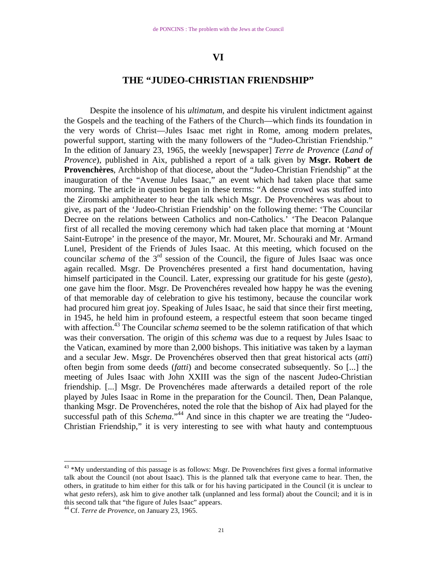#### **VI**

#### **THE "JUDEO-CHRISTIAN FRIENDSHIP"**

Despite the insolence of his *ultimatum*, and despite his virulent indictment against the Gospels and the teaching of the Fathers of the Church—which finds its foundation in the very words of Christ—Jules Isaac met right in Rome, among modern prelates, powerful support, starting with the many followers of the "Judeo-Christian Friendship." In the edition of January 23, 1965, the weekly [newspaper] *Terre de Provence* (*Land of Provence*), published in Aix, published a report of a talk given by **Msgr. Robert de Provenchères**, Archbishop of that diocese, about the "Judeo-Christian Friendship" at the inauguration of the "Avenue Jules Isaac," an event which had taken place that same morning. The article in question began in these terms: "A dense crowd was stuffed into the Ziromski amphitheater to hear the talk which Msgr. De Provenchères was about to give, as part of the 'Judeo-Christian Friendship' on the following theme: 'The Councilar Decree on the relations between Catholics and non-Catholics.' 'The Deacon Palanque first of all recalled the moving ceremony which had taken place that morning at 'Mount Saint-Eutrope' in the presence of the mayor, Mr. Mouret, Mr. Schouraki and Mr. Armand Lunel, President of the Friends of Jules Isaac. At this meeting, which focused on the councilar *schema* of the 3<sup>rd</sup> session of the Council, the figure of Jules Isaac was once again recalled. Msgr. De Provenchéres presented a first hand documentation, having himself participated in the Council. Later, expressing our gratitude for his geste (*gesto*), one gave him the floor. Msgr. De Provenchéres revealed how happy he was the evening of that memorable day of celebration to give his testimony, because the councilar work had procured him great joy. Speaking of Jules Isaac, he said that since their first meeting, in 1945, he held him in profound esteem, a respectful esteem that soon became tinged with affection.<sup>43</sup> The Councilar *schema* seemed to be the solemn ratification of that which was their conversation. The origin of this *schema* was due to a request by Jules Isaac to the Vatican, examined by more than 2,000 bishops. This initiative was taken by a layman and a secular Jew. Msgr. De Provenchéres observed then that great historical acts (*atti*) often begin from some deeds (*fatti*) and become consecrated subsequently. So [...] the meeting of Jules Isaac with John XXIII was the sign of the nascent Judeo-Christian friendship. [...] Msgr. De Provenchéres made afterwards a detailed report of the role played by Jules Isaac in Rome in the preparation for the Council. Then, Dean Palanque, thanking Msgr. De Provenchéres, noted the role that the bishop of Aix had played for the successful path of this *Schema*."<sup>44</sup> And since in this chapter we are treating the "Judeo-Christian Friendship," it is very interesting to see with what hauty and contemptuous

 $43$  \*My understanding of this passage is as follows: Msgr. De Provenchéres first gives a formal informative talk about the Council (not about Isaac). This is the planned talk that everyone came to hear. Then, the others, in gratitude to him either for this talk or for his having participated in the Council (it is unclear to what *gesto* refers), ask him to give another talk (unplanned and less formal) about the Council; and it is in this second talk that "the figure of Jules Isaac" appears.

<sup>44</sup> Cf. *Terre de Provence*, on January 23, 1965.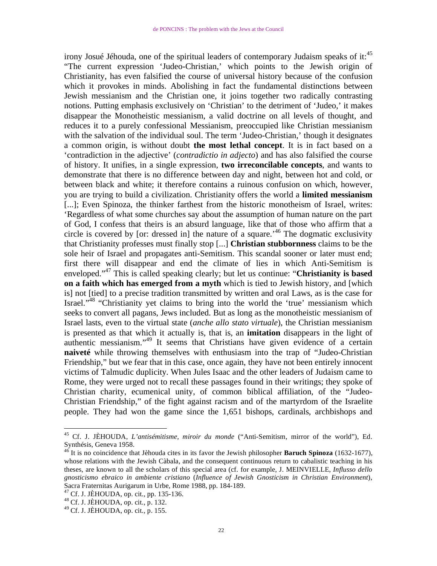irony Josué Jéhouda, one of the spiritual leaders of contemporary Judaism speaks of it:<sup>45</sup> "The current expression 'Judeo-Christian,' which points to the Jewish origin of Christianity, has even falsified the course of universal history because of the confusion which it provokes in minds. Abolishing in fact the fundamental distinctions between Jewish messianism and the Christian one, it joins together two radically contrasting notions. Putting emphasis exclusively on 'Christian' to the detriment of 'Judeo,' it makes disappear the Monotheistic messianism, a valid doctrine on all levels of thought, and reduces it to a purely confessional Messianism, preoccupied like Christian messianism with the salvation of the individual soul. The term 'Judeo-Christian,' though it designates a common origin, is without doubt **the most lethal concept**. It is in fact based on a 'contradiction in the adjective' (*contradictio in adjecto*) and has also falsified the course of history. It unifies, in a single expression, **two irreconcilable concepts**, and wants to demonstrate that there is no difference between day and night, between hot and cold, or between black and white; it therefore contains a ruinous confusion on which, however, you are trying to build a civilization. Christianity offers the world a **limited messianism** [...]; Even Spinoza, the thinker farthest from the historic monotheism of Israel, writes: 'Regardless of what some churches say about the assumption of human nature on the part of God, I confess that theirs is an absurd language, like that of those who affirm that a circle is covered by [or: dressed in] the nature of a square.<sup>46</sup> The dogmatic exclusivity that Christianity professes must finally stop [...] **Christian stubbornness** claims to be the sole heir of Israel and propagates anti-Semitism. This scandal sooner or later must end; first there will disappear and end the climate of lies in which Anti-Semitism is enveloped."47 This is called speaking clearly; but let us continue: "**Christianity is based on a faith which has emerged from a myth** which is tied to Jewish history, and [which is] not [tied] to a precise tradition transmitted by written and oral Laws, as is the case for Israel."<sup>48</sup> "Christianity yet claims to bring into the world the 'true' messianism which seeks to convert all pagans, Jews included. But as long as the monotheistic messianism of Israel lasts, even to the virtual state (*anche allo stato virtuale*), the Christian messianism is presented as that which it actually is, that is, an **imitation** disappears in the light of authentic messianism."49 It seems that Christians have given evidence of a certain **naiveté** while throwing themselves with enthusiasm into the trap of "Judeo-Christian Friendship," but we fear that in this case, once again, they have not been entirely innocent victims of Talmudic duplicity. When Jules Isaac and the other leaders of Judaism came to Rome, they were urged not to recall these passages found in their writings; they spoke of Christian charity, ecumenical unity, of common biblical affiliation, of the "Judeo-Christian Friendship," of the fight against racism and of the martyrdom of the Israelite people. They had won the game since the 1,651 bishops, cardinals, archbishops and

<sup>45</sup> Cf. J. JÈHOUDA, *L'antisémitisme, miroir du monde* ("Anti-Semitism, mirror of the world"), Ed. Synthésis, Geneva 1958.

<sup>46</sup> It is no coincidence that Jèhouda cites in its favor the Jewish philosopher **Baruch Spinoza** (1632-1677), whose relations with the Jewish Càbala, and the consequent continuous return to cabalistic teaching in his theses, are known to all the scholars of this special area (cf. for example, J. MEINVIELLE, *Influsso dello gnosticismo ebraico in ambiente cristiano* (*Influence of Jewish Gnosticism in Christian Environment*), Sacra Fraternitas Aurigarum in Urbe, Rome 1988, pp. 184-189.

<sup>47</sup> Cf. J. JÈHOUDA, op. cit., pp. 135-136.

<sup>48</sup> Cf. J. JÈHOUDA, op. cit., p. 132.

 $^{49}$  Cf. J. JÈHOUDA, op. cit., p. 155.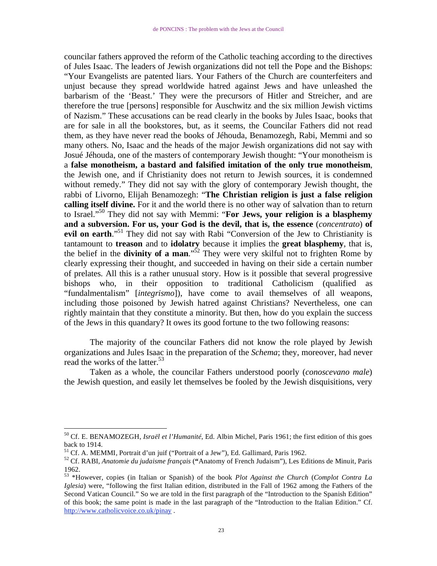councilar fathers approved the reform of the Catholic teaching according to the directives of Jules Isaac. The leaders of Jewish organizations did not tell the Pope and the Bishops: "Your Evangelists are patented liars. Your Fathers of the Church are counterfeiters and unjust because they spread worldwide hatred against Jews and have unleashed the barbarism of the 'Beast.' They were the precursors of Hitler and Streicher, and are therefore the true [persons] responsible for Auschwitz and the six million Jewish victims of Nazism." These accusations can be read clearly in the books by Jules Isaac, books that are for sale in all the bookstores, but, as it seems, the Councilar Fathers did not read them, as they have never read the books of Jéhouda, Benamozegh, Rabi, Memmi and so many others. No, Isaac and the heads of the major Jewish organizations did not say with Josué Jéhouda, one of the masters of contemporary Jewish thought: "Your monotheism is a **false monotheism, a bastard and falsified imitation of the only true monotheism**, the Jewish one, and if Christianity does not return to Jewish sources, it is condemned without remedy." They did not say with the glory of contemporary Jewish thought, the rabbi of Livorno, Elijah Benamozegh: "**The Christian religion is just a false religion calling itself divine.** For it and the world there is no other way of salvation than to return to Israel."50 They did not say with Memmi: "**For Jews, your religion is a blasphemy and a subversion. For us, your God is the devil, that is, the essence** (*concentrato*) **of evil on earth.**"<sup>51</sup> They did not say with Rabi "Conversion of the Jew to Christianity is tantamount to **treason** and to **idolatry** because it implies the **great blasphemy**, that is, the belief in the **divinity of a man**."<sup>52</sup> They were very skilful not to frighten Rome by clearly expressing their thought, and succeeded in having on their side a certain number of prelates. All this is a rather unusual story. How is it possible that several progressive bishops who, in their opposition to traditional Catholicism (qualified as "fundalmentalism" [*integrismo*]), have come to avail themselves of all weapons, including those poisoned by Jewish hatred against Christians? Nevertheless, one can rightly maintain that they constitute a minority. But then, how do you explain the success of the Jews in this quandary? It owes its good fortune to the two following reasons:

The majority of the councilar Fathers did not know the role played by Jewish organizations and Jules Isaac in the preparation of the *Schema*; they, moreover, had never read the works of the latter.<sup>53</sup>

Taken as a whole, the councilar Fathers understood poorly (*conoscevano male*) the Jewish question, and easily let themselves be fooled by the Jewish disquisitions, very

<sup>50</sup> Cf. E. BENAMOZEGH, *Israël et l'Humanité*, Ed. Albin Michel, Paris 1961; the first edition of this goes back to 1914.

<sup>51</sup> Cf. A. MEMMI, Portrait d'un juif ("Portrait of a Jew"), Ed. Gallimard, Paris 1962.

<sup>52</sup> Cf. RABI, *Anatomie du judaisme français* (**"**Anatomy of French Judaism"), Les Editions de Minuit, Paris 1962.

<sup>53 \*</sup>However, copies (in Italian or Spanish) of the book *Plot Against the Church* (*Complot Contra La Iglesia*) were, "following the first Italian edition, distributed in the Fall of 1962 among the Fathers of the Second Vatican Council." So we are told in the first paragraph of the "Introduction to the Spanish Edition" of this book; the same point is made in the last paragraph of the "Introduction to the Italian Edition." Cf. http://www.catholicvoice.co.uk/pinay .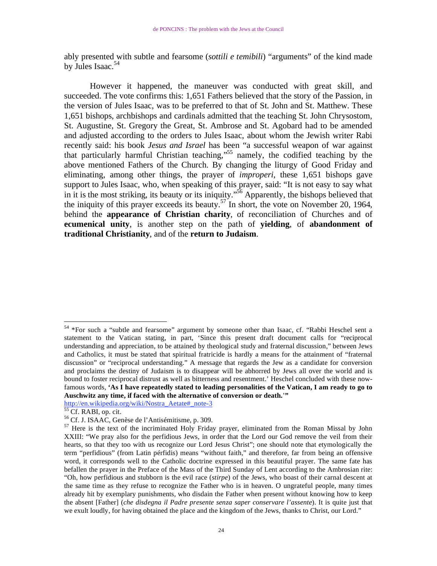ably presented with subtle and fearsome (*sottili e temibili*) "arguments" of the kind made by Jules Isaac.<sup>54</sup>

However it happened, the maneuver was conducted with great skill, and succeeded. The vote confirms this: 1,651 Fathers believed that the story of the Passion, in the version of Jules Isaac, was to be preferred to that of St. John and St. Matthew. These 1,651 bishops, archbishops and cardinals admitted that the teaching St. John Chrysostom, St. Augustine, St. Gregory the Great, St. Ambrose and St. Agobard had to be amended and adjusted according to the orders to Jules Isaac, about whom the Jewish writer Rabi recently said: his book *Jesus and Israel* has been "a successful weapon of war against that particularly harmful Christian teaching,"55 namely, the codified teaching by the above mentioned Fathers of the Church. By changing the liturgy of Good Friday and eliminating, among other things, the prayer of *improperi*, these 1,651 bishops gave support to Jules Isaac, who, when speaking of this prayer, said: "It is not easy to say what in it is the most striking, its beauty or its iniquity."<sup>56</sup> Apparently, the bishops believed that the iniquity of this prayer exceeds its beauty.<sup>57</sup> In short, the vote on November 20, 1964, behind the **appearance of Christian charity**, of reconciliation of Churches and of **ecumenical unity**, is another step on the path of **yielding**, of **abandonment of traditional Christianity**, and of the **return to Judaism**.

http://en.wikipedia.org/wiki/Nostra Aetate# note-3 <sup>55</sup> Cf. RABI, op. cit.

1

<sup>&</sup>lt;sup>54</sup> \*For such a "subtle and fearsome" argument by someone other than Isaac, cf. "Rabbi Heschel sent a statement to the Vatican stating, in part, 'Since this present draft document calls for "reciprocal understanding and appreciation, to be attained by theological study and fraternal discussion," between Jews and Catholics, it must be stated that spiritual fratricide is hardly a means for the attainment of "fraternal discussion" or "reciprocal understanding." A message that regards the Jew as a candidate for conversion and proclaims the destiny of Judaism is to disappear will be abhorred by Jews all over the world and is bound to foster reciprocal distrust as well as bitterness and resentment.' Heschel concluded with these nowfamous words, **'As I have repeatedly stated to leading personalities of the Vatican, I am ready to go to Auschwitz any time, if faced with the alternative of conversion or death.**'**"** 

<sup>56</sup> Cf. J. ISAAC, Genèse de l'Antisémitisme, p. 309.

<sup>&</sup>lt;sup>57</sup> Here is the text of the incriminated Holy Friday prayer, eliminated from the Roman Missal by John XXIII: "We pray also for the perfidious Jews, in order that the Lord our God remove the veil from their hearts, so that they too with us recognize our Lord Jesus Christ"; one should note that etymologically the term "perfidious" (from Latin pérfidis) means "without faith," and therefore, far from being an offensive word, it corresponds well to the Catholic doctrine expressed in this beautiful prayer. The same fate has befallen the prayer in the Preface of the Mass of the Third Sunday of Lent according to the Ambrosian rite: "Oh, how perfidious and stubborn is the evil race (*stirpe*) of the Jews, who boast of their carnal descent at the same time as they refuse to recognize the Father who is in heaven. O ungrateful people, many times already hit by exemplary punishments, who disdain the Father when present without knowing how to keep the absent [Father] (*che disdegna il Padre presente senza saper conservare l'assente*). It is quite just that we exult loudly, for having obtained the place and the kingdom of the Jews, thanks to Christ, our Lord."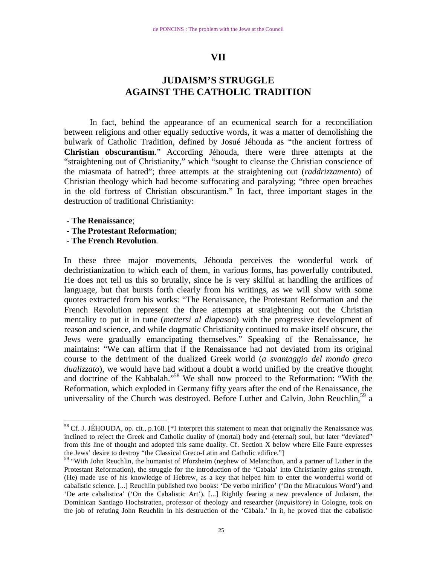### **VII**

# **JUDAISM'S STRUGGLE AGAINST THE CATHOLIC TRADITION**

In fact, behind the appearance of an ecumenical search for a reconciliation between religions and other equally seductive words, it was a matter of demolishing the bulwark of Catholic Tradition, defined by Josué Jéhouda as "the ancient fortress of **Christian obscurantism**." According Jéhouda, there were three attempts at the "straightening out of Christianity," which "sought to cleanse the Christian conscience of the miasmata of hatred"; three attempts at the straightening out (*raddrizzamento*) of Christian theology which had become suffocating and paralyzing; "three open breaches in the old fortress of Christian obscurantism." In fact, three important stages in the destruction of traditional Christianity:

- **The Renaissance**;

<u>.</u>

- **The Protestant Reformation**;
- **The French Revolution**.

In these three major movements, Jéhouda perceives the wonderful work of dechristianization to which each of them, in various forms, has powerfully contributed. He does not tell us this so brutally, since he is very skilful at handling the artifices of language, but that bursts forth clearly from his writings, as we will show with some quotes extracted from his works: "The Renaissance, the Protestant Reformation and the French Revolution represent the three attempts at straightening out the Christian mentality to put it in tune (*mettersi al diapason*) with the progressive development of reason and science, and while dogmatic Christianity continued to make itself obscure, the Jews were gradually emancipating themselves." Speaking of the Renaissance, he maintains: "We can affirm that if the Renaissance had not deviated from its original course to the detriment of the dualized Greek world (*a svantaggio del mondo greco dualizzato*), we would have had without a doubt a world unified by the creative thought and doctrine of the Kabbalah."58 We shall now proceed to the Reformation: "With the Reformation, which exploded in Germany fifty years after the end of the Renaissance, the universality of the Church was destroyed. Before Luther and Calvin, John Reuchlin,  $59^{\circ}$  a

<sup>58</sup> Cf. J. JÉHOUDA, op. cit., p.168. [\*I interpret this statement to mean that originally the Renaissance was inclined to reject the Greek and Catholic duality of (mortal) body and (eternal) soul, but later "deviated" from this line of thought and adopted this same duality. Cf. Section X below where Elie Faure expresses the Jews' desire to destroy "the Classical Greco-Latin and Catholic edifice."]

<sup>&</sup>lt;sup>59</sup> "With John Reuchlin, the humanist of Pforzheim (nephew of Melancthon, and a partner of Luther in the Protestant Reformation), the struggle for the introduction of the 'Cabala' into Christianity gains strength. (He) made use of his knowledge of Hebrew, as a key that helped him to enter the wonderful world of cabalistic science. [...] Reuchlin published two books: 'De verbo mirifico' ('On the Miraculous Word') and 'De arte cabalistica' ('On the Cabalistic Art'). [...] Rightly fearing a new prevalence of Judaism, the Dominican Santiago Hochstratten, professor of theology and researcher (*inquisitore*) in Cologne, took on the job of refuting John Reuchlin in his destruction of the 'Càbala.' In it, he proved that the cabalistic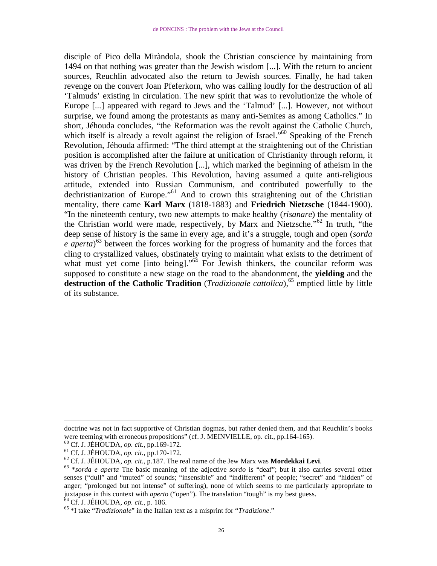disciple of Pico della Miràndola, shook the Christian conscience by maintaining from 1494 on that nothing was greater than the Jewish wisdom [...]. With the return to ancient sources, Reuchlin advocated also the return to Jewish sources. Finally, he had taken revenge on the convert Joan Pfeferkorn, who was calling loudly for the destruction of all 'Talmuds' existing in circulation. The new spirit that was to revolutionize the whole of Europe [...] appeared with regard to Jews and the 'Talmud' [...]. However, not without surprise, we found among the protestants as many anti-Semites as among Catholics." In short, Jéhouda concludes, "the Reformation was the revolt against the Catholic Church, which itself is already a revolt against the religion of Israel. $\cdot$ <sup>60</sup> Speaking of the French Revolution, Jéhouda affirmed: "The third attempt at the straightening out of the Christian position is accomplished after the failure at unification of Christianity through reform, it was driven by the French Revolution [...], which marked the beginning of atheism in the history of Christian peoples. This Revolution, having assumed a quite anti-religious attitude, extended into Russian Communism, and contributed powerfully to the dechristianization of Europe."<sup>61</sup> And to crown this straightening out of the Christian mentality, there came **Karl Marx** (1818-1883) and **Friedrich Nietzsche** (1844-1900). "In the nineteenth century, two new attempts to make healthy (*risanare*) the mentality of the Christian world were made, respectively, by Marx and Nietzsche.<sup> $52$ </sup> In truth, "the deep sense of history is the same in every age, and it's a struggle, tough and open (*sorda e aperta*) 63 between the forces working for the progress of humanity and the forces that cling to crystallized values, obstinately trying to maintain what exists to the detriment of what must yet come [into being]."<sup>64</sup> For Jewish thinkers, the councilar reform was supposed to constitute a new stage on the road to the abandonment, the **yielding** and the destruction of the Catholic Tradition (*Tradizionale cattolica*),<sup>65</sup> emptied little by little of its substance.

doctrine was not in fact supportive of Christian dogmas, but rather denied them, and that Reuchlin's books were teeming with erroneous propositions" (cf. J. MEINVIELLE, op. cit., pp.164-165).<br><sup>60</sup> Cf. J. JÉHOUDA, *op. cit.*, pp.169-172.

<sup>&</sup>lt;sup>61</sup> Cf. J. JÉHOUDA, *op. cit.*, pp. 170-172.<br><sup>62</sup> Cf. J. JÉHOUDA, *op. cit.*, p. 187. The real name of the Jew Marx was **Mordekkai Levi**.<br><sup>63</sup> \**sorda e aperta* The basic meaning of the adjective *sordo* is "deaf"; but i senses ("dull" and "muted" of sounds; "insensible" and "indifferent" of people; "secret" and "hidden" of anger; "prolonged but not intense" of suffering), none of which seems to me particularly appropriate to juxtapose in this context with *aperto* ("open"). The translation "tough" is my best guess.<br><sup>64</sup> Cf. J. JÉHOUDA, *op. cit.*, p. 186.<br><sup>65</sup> \*I take "*Tradizionale*" in the Italian text as a misprint for "*Tradizione*."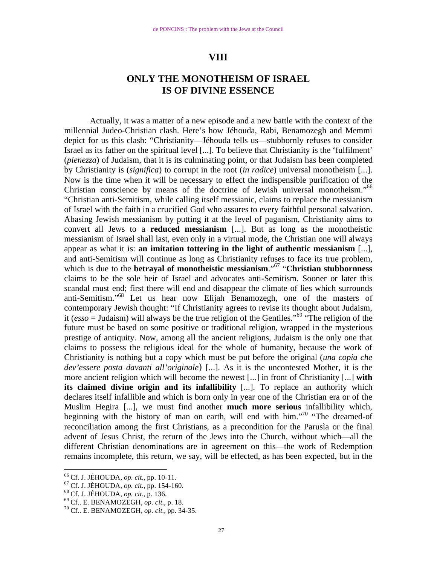#### **VIII**

# **ONLY THE MONOTHEISM OF ISRAEL IS OF DIVINE ESSENCE**

Actually, it was a matter of a new episode and a new battle with the context of the millennial Judeo-Christian clash. Here's how Jéhouda, Rabi, Benamozegh and Memmi depict for us this clash: "Christianity—Jéhouda tells us—stubbornly refuses to consider Israel as its father on the spiritual level [...]. To believe that Christianity is the 'fulfilment' (*pienezza*) of Judaism, that it is its culminating point, or that Judaism has been completed by Christianity is (*significa*) to corrupt in the root (*in radice*) universal monotheism [...]. Now is the time when it will be necessary to effect the indispensible purification of the Christian conscience by means of the doctrine of Jewish universal monotheism."<sup>66</sup> "Christian anti-Semitism, while calling itself messianic, claims to replace the messianism of Israel with the faith in a crucified God who assures to every faithful personal salvation. Abasing Jewish messianism by putting it at the level of paganism, Christianity aims to convert all Jews to a **reduced messianism** [...]. But as long as the monotheistic messianism of Israel shall last, even only in a virtual mode, the Christian one will always appear as what it is: **an imitation tottering in the light of authentic messianism** [...], and anti-Semitism will continue as long as Christianity refuses to face its true problem, which is due to the **betrayal of monotheistic messianism**."67 "**Christian stubbornness** claims to be the sole heir of Israel and advocates anti-Semitism. Sooner or later this scandal must end; first there will end and disappear the climate of lies which surrounds anti-Semitism."68 Let us hear now Elijah Benamozegh, one of the masters of contemporary Jewish thought: "If Christianity agrees to revise its thought about Judaism, it (*esso* = Judaism) will always be the true religion of the Gentiles."69 "The religion of the future must be based on some positive or traditional religion, wrapped in the mysterious prestige of antiquity. Now, among all the ancient religions, Judaism is the only one that claims to possess the religious ideal for the whole of humanity, because the work of Christianity is nothing but a copy which must be put before the original (*una copia che dev'essere posta davanti all'originale*) [...]. As it is the uncontested Mother, it is the more ancient religion which will become the newest [...] in front of Christianity [...] **with its claimed divine origin and its infallibility** [...]. To replace an authority which declares itself infallible and which is born only in year one of the Christian era or of the Muslim Hegira [...], we must find another **much more serious** infallibility which, beginning with the history of man on earth, will end with him.<sup> $70$ </sup> "The dreamed-of reconciliation among the first Christians, as a precondition for the Parusìa or the final advent of Jesus Christ, the return of the Jews into the Church, without which—all the different Christian denominations are in agreement on this—the work of Redemption remains incomplete, this return, we say, will be effected, as has been expected, but in the

<sup>&</sup>lt;sup>66</sup> Cf. J. JÉHOUDA, op. cit., pp. 10-11.

<sup>&</sup>lt;sup>67</sup> Cf. J. JÉHOUDA, *op. cit.*, pp. 154-160.<br><sup>68</sup> Cf. J. JÉHOUDA, *op. cit.*, p. 136.<br><sup>69</sup> Cf.. E. BENAMOZEGH, *op. cit.*, p. 18.<br><sup>70</sup> Cf.. E. BENAMOZEGH, *op. cit.*, pp. 34-35.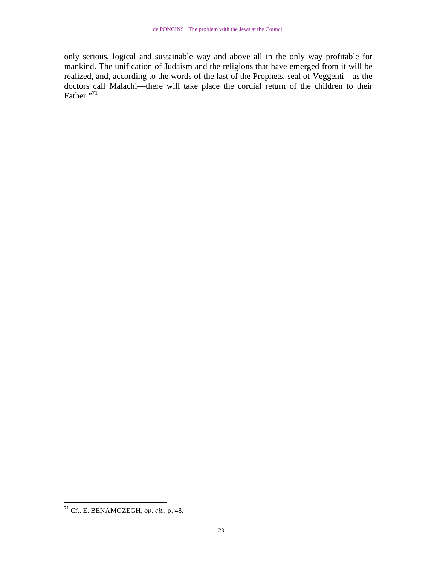only serious, logical and sustainable way and above all in the only way profitable for mankind. The unification of Judaism and the religions that have emerged from it will be realized, and, according to the words of the last of the Prophets, seal of Veggenti—as the doctors call Malachi—there will take place the cordial return of the children to their Father."<sup>71</sup>

<sup>&</sup>lt;sup>71</sup> Cf.. E. BENAMOZEGH, *op. cit.*, p. 48.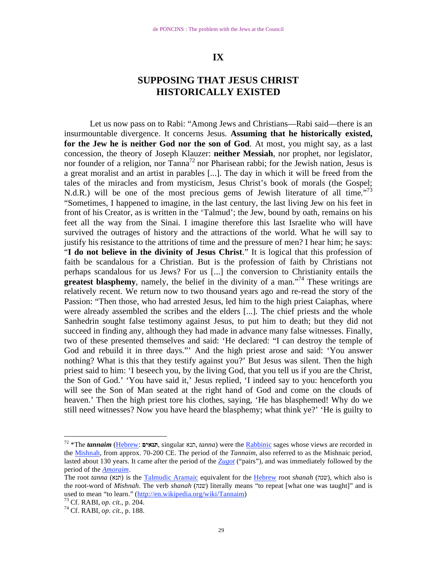**IX** 

# **SUPPOSING THAT JESUS CHRIST HISTORICALLY EXISTED**

Let us now pass on to Rabi: "Among Jews and Christians—Rabi said—there is an insurmountable divergence. It concerns Jesus. **Assuming that he historically existed, for the Jew he is neither God nor the son of God**. At most, you might say, as a last concession, the theory of Joseph Klauzer: **neither Messiah**, nor prophet, nor legislator, nor founder of a religion, nor  $\text{Tanna}^{72}$  nor Pharisean rabbi; for the Jewish nation, Jesus is a great moralist and an artist in parables [...]. The day in which it will be freed from the tales of the miracles and from mysticism, Jesus Christ's book of morals (the Gospel; N.d.R.) will be one of the most precious gems of Jewish literature of all time."<sup>73</sup> "Sometimes, I happened to imagine, in the last century, the last living Jew on his feet in front of his Creator, as is written in the 'Talmud'; the Jew, bound by oath, remains on his feet all the way from the Sinai. I imagine therefore this last Israelite who will have survived the outrages of history and the attractions of the world. What he will say to justify his resistance to the attritions of time and the pressure of men? I hear him; he says: "**I do not believe in the divinity of Jesus Christ**." It is logical that this profession of faith be scandalous for a Christian. But is the profession of faith by Christians not perhaps scandalous for us Jews? For us [...] the conversion to Christianity entails the **greatest blasphemy**, namely, the belief in the divinity of a man."<sup>74</sup> These writings are relatively recent. We return now to two thousand years ago and re-read the story of the Passion: "Then those, who had arrested Jesus, led him to the high priest Caiaphas, where were already assembled the scribes and the elders [...]. The chief priests and the whole Sanhedrin sought false testimony against Jesus, to put him to death; but they did not succeed in finding any, although they had made in advance many false witnesses. Finally, two of these presented themselves and said: 'He declared: "I can destroy the temple of God and rebuild it in three days."' And the high priest arose and said: 'You answer nothing? What is this that they testify against you?' But Jesus was silent. Then the high priest said to him: 'I beseech you, by the living God, that you tell us if you are the Christ, the Son of God.' 'You have said it,' Jesus replied, 'I indeed say to you: henceforth you will see the Son of Man seated at the right hand of God and come on the clouds of heaven.' Then the high priest tore his clothes, saying, 'He has blasphemed! Why do we still need witnesses? Now you have heard the blasphemy; what think ye?' 'He is guilty to

<sup>&</sup>lt;sup>72</sup> \*The *tannaim* (Hebrew: תנאים, singular גוגאום, *tanna*) were the <u>Rabbinic</u> sages whose views are recorded in the Mishnah, from approx. 70-200 CE. The period of the *Tannaim*, also referred to as the Mishnaic period, lasted about 130 years. It came after the period of the *Zugot* ("pairs"), and was immediately followed by the period of the *Amoraim*.

The root *tanna* () is the Talmudic Aramaic equivalent for the Hebrew root *shanah* (-), which also is the root-word of *Mishnah*. The verb *shanah* (שנה) literally means "to repeat [what one was taught]" and is used to mean "to learn." (http://en.wikipedia.org/wiki/Tannaim)<br><sup>73</sup> Cf. RABI, *op. cit.*, p. 204.<br><sup>74</sup> Cf. RABI, *op. cit.*, p. 188.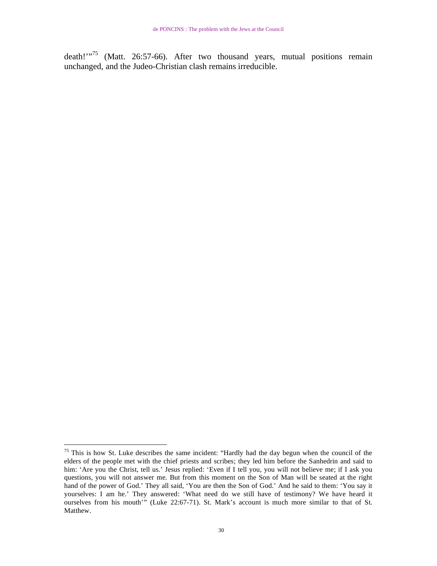death!'"75 (Matt. 26:57-66). After two thousand years, mutual positions remain unchanged, and the Judeo-Christian clash remains irreducible.

1

 $75$  This is how St. Luke describes the same incident: "Hardly had the day begun when the council of the elders of the people met with the chief priests and scribes; they led him before the Sanhedrin and said to him: 'Are you the Christ, tell us.' Jesus replied: 'Even if I tell you, you will not believe me; if I ask you questions, you will not answer me. But from this moment on the Son of Man will be seated at the right hand of the power of God.' They all said, 'You are then the Son of God.' And he said to them: 'You say it yourselves: I am he.' They answered: 'What need do we still have of testimony? We have heard it ourselves from his mouth'" (Luke 22:67-71). St. Mark's account is much more similar to that of St. Matthew.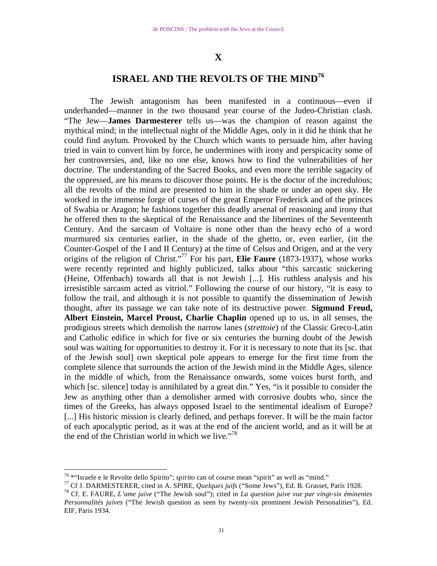# **ISRAEL AND THE REVOLTS OF THE MIND76**

The Jewish antagonism has been manifested in a continuous—even if underhanded—manner in the two thousand year course of the Judeo-Christian clash. "The Jew—**James Darmesterer** tells us—was the champion of reason against the mythical mind; in the intellectual night of the Middle Ages, only in it did he think that he could find asylum. Provoked by the Church which wants to persuade him, after having tried in vain to convert him by force, he undermines with irony and perspicacity some of her controversies, and, like no one else, knows how to find the vulnerabilities of her doctrine. The understanding of the Sacred Books, and even more the terrible sagacity of the oppressed, are his means to discover those points. He is the doctor of the incredulous; all the revolts of the mind are presented to him in the shade or under an open sky. He worked in the immense forge of curses of the great Emperor Frederick and of the princes of Swabia or Aragon; he fashions together this deadly arsenal of reasoning and irony that he offered then to the skeptical of the Renaissance and the libertines of the Seventeenth Century. And the sarcasm of Voltaire is none other than the heavy echo of a word murmured six centuries earlier, in the shade of the ghetto, or, even earlier, (in the Counter-Gospel of the I and II Century) at the time of Celsus and Origen, and at the very origins of the religion of Christ."77 For his part, **Elie Faure** (1873-1937), whose works were recently reprinted and highly publicized, talks about "this sarcastic snickering (Heine, Offenbach) towards all that is not Jewish [...]. His ruthless analysis and his irresistible sarcasm acted as vitriol." Following the course of our history, "it is easy to follow the trail, and although it is not possible to quantify the dissemination of Jewish thought, after its passage we can take note of its destructive power. **Sigmund Freud, Albert Einstein, Marcel Proust, Charlie Chaplin** opened up to us, in all senses, the prodigious streets which demolish the narrow lanes (*strettoie*) of the Classic Greco-Latin and Catholic edifice in which for five or six centuries the burning doubt of the Jewish soul was waiting for opportunities to destroy it. For it is necessary to note that its [sc. that of the Jewish soul] own skeptical pole appears to emerge for the first time from the complete silence that surrounds the action of the Jewish mind in the Middle Ages, silence in the middle of which, from the Renaissance onwards, some voices burst forth, and which [sc. silence] today is annihilated by a great din." Yes, "is it possible to consider the Jew as anything other than a demolisher armed with corrosive doubts who, since the times of the Greeks, has always opposed Israel to the sentimental idealism of Europe? [...] His historic mission is clearly defined, and perhaps forever. It will be the main factor of each apocalyptic period, as it was at the end of the ancient world, and as it will be at the end of the Christian world in which we live."<sup>78</sup>

<sup>&</sup>lt;sup>76</sup> \*"Israele e le Revolte dello Spirito"; *spirito* can of course mean "spirit" as well as "mind."

<sup>&</sup>lt;sup>77</sup> Cf J. DARMESTERER, cited in A. SPIRE, *Quelques juifs* ("Some Jews"), Ed. B. Grasset, Paris 1928.<br><sup>78</sup> Cf. E. FAURE, *L'ame juive* ("The Jewish soul"); cited in *La question juive vue par vingt-six éminentes* 

*Personnalités juives* ("The Jewish question as seen by twenty-six prominent Jewish Personalities"), Ed. EIF, Paris 1934.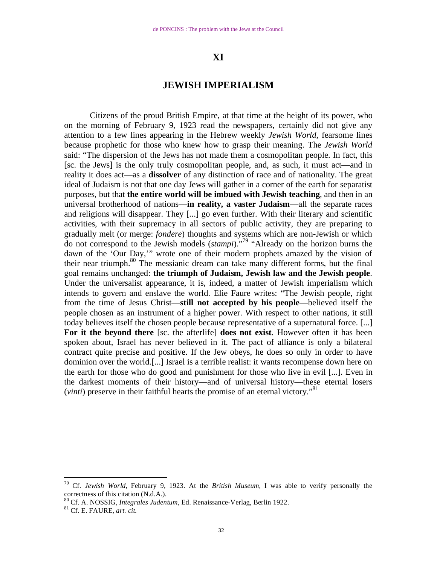#### **XI**

#### **JEWISH IMPERIALISM**

Citizens of the proud British Empire, at that time at the height of its power, who on the morning of February 9, 1923 read the newspapers, certainly did not give any attention to a few lines appearing in the Hebrew weekly *Jewish World*, fearsome lines because prophetic for those who knew how to grasp their meaning. The *Jewish World* said: "The dispersion of the Jews has not made them a cosmopolitan people. In fact, this [sc. the Jews] is the only truly cosmopolitan people, and, as such, it must act—and in reality it does act—as a **dissolver** of any distinction of race and of nationality. The great ideal of Judaism is not that one day Jews will gather in a corner of the earth for separatist purposes, but that **the entire world will be imbued with Jewish teaching**, and then in an universal brotherhood of nations—**in reality, a vaster Judaism**—all the separate races and religions will disappear. They [...] go even further. With their literary and scientific activities, with their supremacy in all sectors of public activity, they are preparing to gradually melt (or merge: *fondere*) thoughts and systems which are non-Jewish or which do not correspond to the Jewish models (*stampi*)."79 "Already on the horizon burns the dawn of the 'Our Day,'" wrote one of their modern prophets amazed by the vision of their near triumph. $80$  The messianic dream can take many different forms, but the final goal remains unchanged: **the triumph of Judaism, Jewish law and the Jewish people**. Under the universalist appearance, it is, indeed, a matter of Jewish imperialism which intends to govern and enslave the world. Elie Faure writes: "The Jewish people, right from the time of Jesus Christ—**still not accepted by his people**—believed itself the people chosen as an instrument of a higher power. With respect to other nations, it still today believes itself the chosen people because representative of a supernatural force. [...] **For it the beyond there** [sc. the afterlife] **does not exist**. However often it has been spoken about, Israel has never believed in it. The pact of alliance is only a bilateral contract quite precise and positive. If the Jew obeys, he does so only in order to have dominion over the world.[...] Israel is a terrible realist: it wants recompense down here on the earth for those who do good and punishment for those who live in evil [...]. Even in the darkest moments of their history—and of universal history—these eternal losers (*vinti*) preserve in their faithful hearts the promise of an eternal victory."81

<sup>79</sup> Cf. *Jewish World*, February 9, 1923. At the *British Museum*, I was able to verify personally the correctness of this citation (N.d.A.).

<sup>&</sup>lt;sup>80</sup> Cf. A. NOSSIG, *Integrales Judentum*, Ed. Renaissance-Verlag, Berlin 1922.<br><sup>81</sup> Cf. E. FAURE, *art. cit.*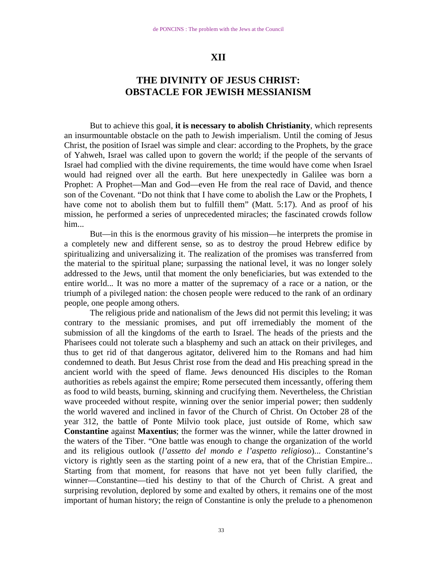# **XII**

# **THE DIVINITY OF JESUS CHRIST: OBSTACLE FOR JEWISH MESSIANISM**

But to achieve this goal, **it is necessary to abolish Christianity**, which represents an insurmountable obstacle on the path to Jewish imperialism. Until the coming of Jesus Christ, the position of Israel was simple and clear: according to the Prophets, by the grace of Yahweh, Israel was called upon to govern the world; if the people of the servants of Israel had complied with the divine requirements, the time would have come when Israel would had reigned over all the earth. But here unexpectedly in Galilee was born a Prophet: A Prophet—Man and God—even He from the real race of David, and thence son of the Covenant. "Do not think that I have come to abolish the Law or the Prophets, I have come not to abolish them but to fulfill them" (Matt. 5:17). And as proof of his mission, he performed a series of unprecedented miracles; the fascinated crowds follow him...

But—in this is the enormous gravity of his mission—he interprets the promise in a completely new and different sense, so as to destroy the proud Hebrew edifice by spiritualizing and universalizing it. The realization of the promises was transferred from the material to the spiritual plane; surpassing the national level, it was no longer solely addressed to the Jews, until that moment the only beneficiaries, but was extended to the entire world... It was no more a matter of the supremacy of a race or a nation, or the triumph of a pivileged nation: the chosen people were reduced to the rank of an ordinary people, one people among others.

The religious pride and nationalism of the Jews did not permit this leveling; it was contrary to the messianic promises, and put off irremediably the moment of the submission of all the kingdoms of the earth to Israel. The heads of the priests and the Pharisees could not tolerate such a blasphemy and such an attack on their privileges, and thus to get rid of that dangerous agitator, delivered him to the Romans and had him condemned to death. But Jesus Christ rose from the dead and His preaching spread in the ancient world with the speed of flame. Jews denounced His disciples to the Roman authorities as rebels against the empire; Rome persecuted them incessantly, offering them as food to wild beasts, burning, skinning and crucifying them. Nevertheless, the Christian wave proceeded without respite, winning over the senior imperial power; then suddenly the world wavered and inclined in favor of the Church of Christ. On October 28 of the year 312, the battle of Ponte Milvio took place, just outside of Rome, which saw **Constantine** against **Maxentius**; the former was the winner, while the latter drowned in the waters of the Tiber. "One battle was enough to change the organization of the world and its religious outlook (*l'assetto del mondo e l'aspetto religioso*)... Constantine's victory is rightly seen as the starting point of a new era, that of the Christian Empire... Starting from that moment, for reasons that have not yet been fully clarified, the winner—Constantine—tied his destiny to that of the Church of Christ. A great and surprising revolution, deplored by some and exalted by others, it remains one of the most important of human history; the reign of Constantine is only the prelude to a phenomenon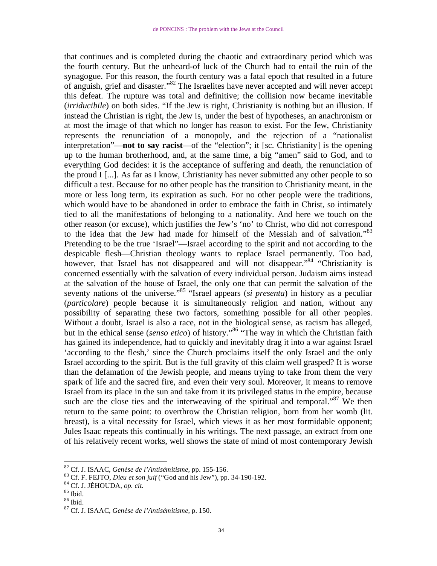that continues and is completed during the chaotic and extraordinary period which was the fourth century. But the unheard-of luck of the Church had to entail the ruin of the synagogue. For this reason, the fourth century was a fatal epoch that resulted in a future of anguish, grief and disaster."<sup>82</sup> The Israelites have never accepted and will never accept this defeat. The rupture was total and definitive; the collision now became inevitable (*irriducibile*) on both sides. "If the Jew is right, Christianity is nothing but an illusion. If instead the Christian is right, the Jew is, under the best of hypotheses, an anachronism or at most the image of that which no longer has reason to exist. For the Jew, Christianity represents the renunciation of a monopoly, and the rejection of a "nationalist interpretation"—**not to say racist**—of the "election"; it [sc. Christianity] is the opening up to the human brotherhood, and, at the same time, a big "amen" said to God, and to everything God decides: it is the acceptance of suffering and death, the renunciation of the proud I [...]. As far as I know, Christianity has never submitted any other people to so difficult a test. Because for no other people has the transition to Christianity meant, in the more or less long term, its expiration as such. For no other people were the traditions, which would have to be abandoned in order to embrace the faith in Christ, so intimately tied to all the manifestations of belonging to a nationality. And here we touch on the other reason (or excuse), which justifies the Jew's 'no' to Christ, who did not correspond to the idea that the Jew had made for himself of the Messiah and of salvation."<sup>83</sup> Pretending to be the true 'Israel"—Israel according to the spirit and not according to the despicable flesh—Christian theology wants to replace Israel permanently. Too bad, however, that Israel has not disappeared and will not disappear.<sup>84</sup> "Christianity is concerned essentially with the salvation of every individual person. Judaism aims instead at the salvation of the house of Israel, the only one that can permit the salvation of the seventy nations of the universe."<sup>85</sup> "Israel appears (*si presenta*) in history as a peculiar (*particolare*) people because it is simultaneously religion and nation, without any possibility of separating these two factors, something possible for all other peoples. Without a doubt, Israel is also a race, not in the biological sense, as racism has alleged, but in the ethical sense (*senso etico*) of history."86 "The way in which the Christian faith has gained its independence, had to quickly and inevitably drag it into a war against Israel 'according to the flesh,' since the Church proclaims itself the only Israel and the only Israel according to the spirit. But is the full gravity of this claim well grasped? It is worse than the defamation of the Jewish people, and means trying to take from them the very spark of life and the sacred fire, and even their very soul. Moreover, it means to remove Israel from its place in the sun and take from it its privileged status in the empire, because such are the close ties and the interweaving of the spiritual and temporal. $\cdot$ <sup>87</sup> We then return to the same point: to overthrow the Christian religion, born from her womb (lit. breast), is a vital necessity for Israel, which views it as her most formidable opponent; Jules Isaac repeats this continually in his writings. The next passage, an extract from one of his relatively recent works, well shows the state of mind of most contemporary Jewish

1

<sup>82</sup> Cf. J. ISAAC, *Genèse de l'Antisémitisme*, pp. 155-156. 83 Cf. F. FEJTO, *Dieu et son juif* ("God and his Jew"), pp. 34-190-192. 84 Cf. J. JÉHOUDA, *op. cit.* 85 Ibid.

 $86$  Ibid.

<sup>87</sup> Cf. J. ISAAC, *Genèse de l'Antisémitisme*, p. 150.